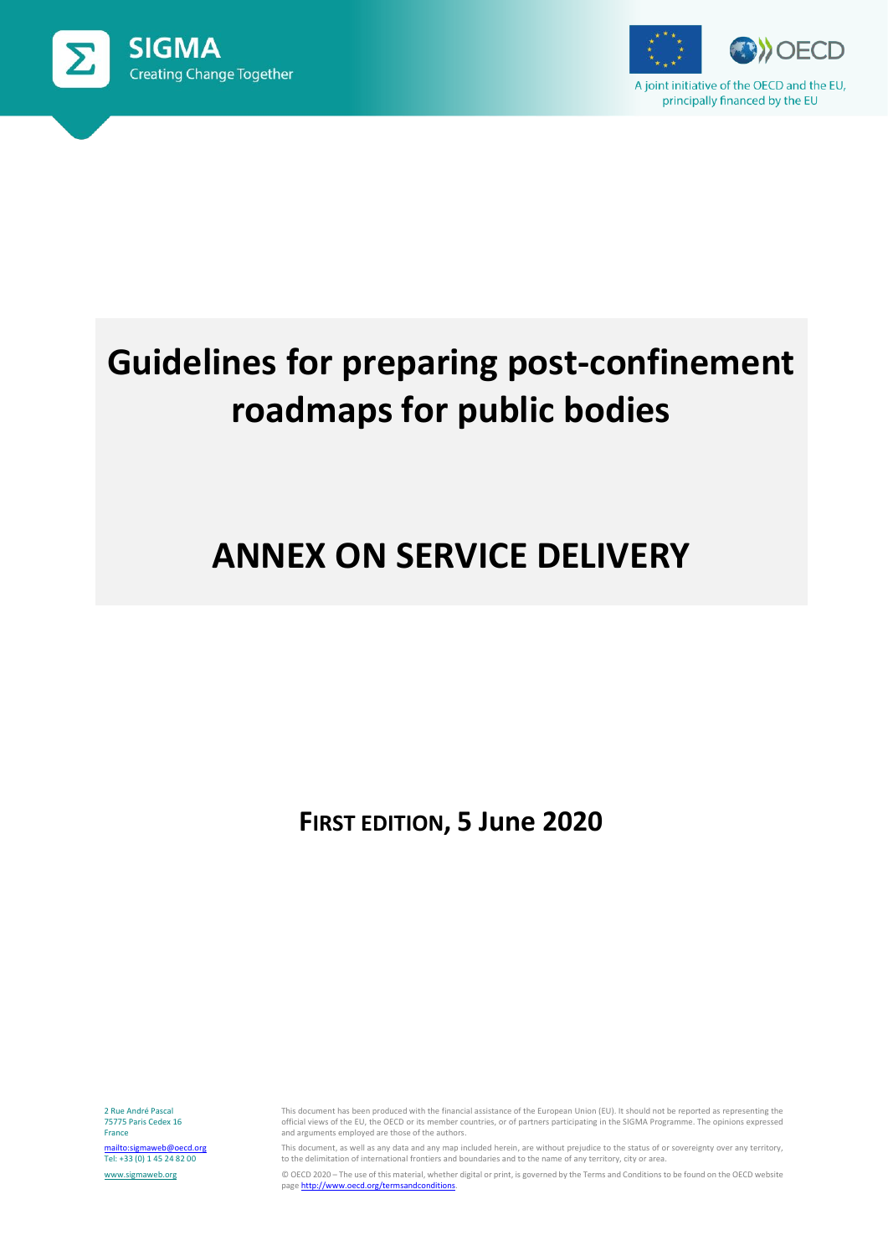



# **Guidelines for preparing post-confinement roadmaps for public bodies**

## **ANNEX ON SERVICE DELIVERY**

**FIRST EDITION, 5 June 2020**

2 Rue André Pascal 75775 Paris Cedex 16 France <mailto:sigmaweb@oecd.org> Tel: +33 (0) 1 45 24 82 00 [www.sigmaweb.org](http://www.sigmaweb.org/)

This document has been produced with the financial assistance of the European Union (EU). It should not be reported as representing the official views of the EU, the OECD or its member countries, or of partners participating in the SIGMA Programme. The opinions expressed and arguments employed are those of the authors.

This document, as well as any data and any map included herein, are without prejudice to the status of or sovereignty over any territory, to the delimitation of international frontiers and boundaries and to the name of any territory, city or area.

© OECD 2020 – The use of this material, whether digital or print, is governed by the Terms and Conditions to be found on the OECD website pag[e http://www.oecd.org/termsandconditions.](http://www.oecd.org/termsandconditions)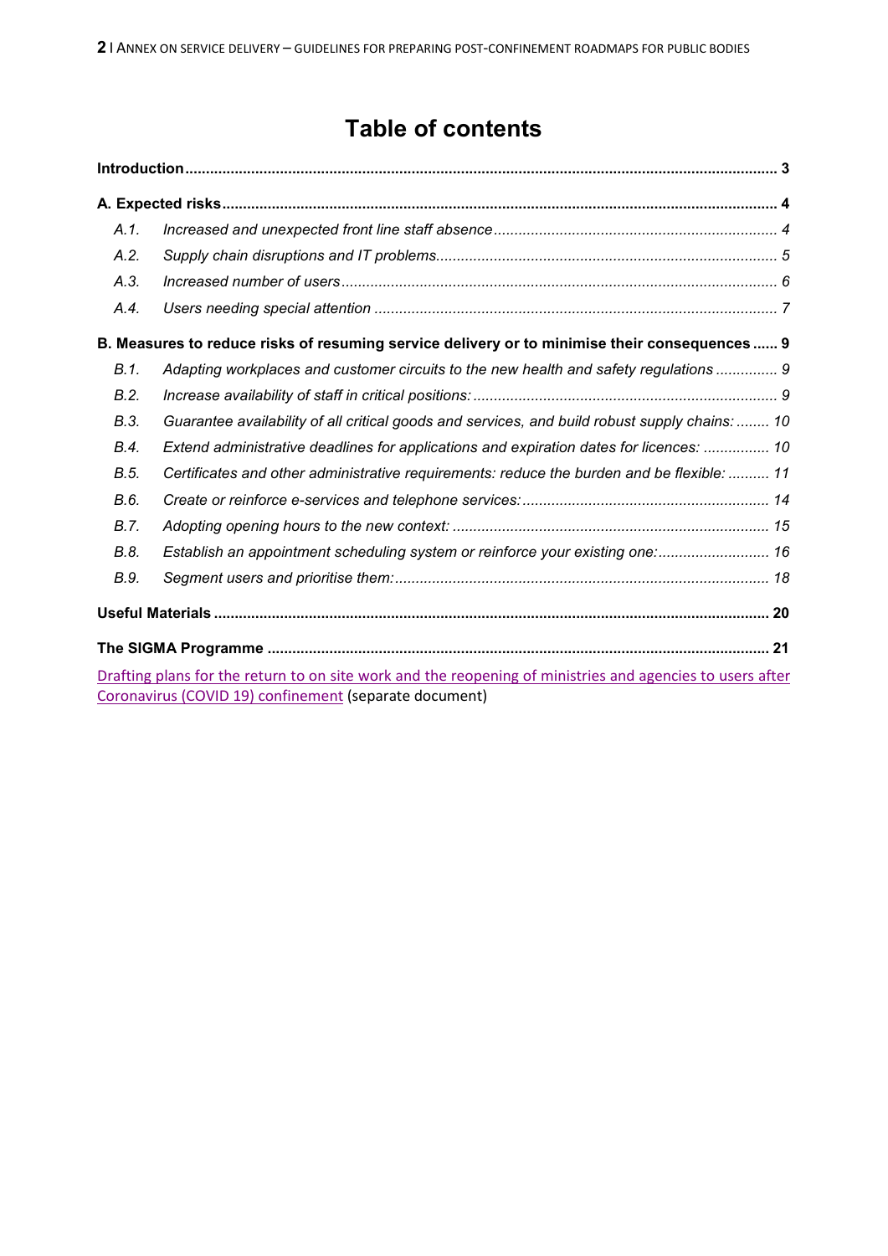### **Table of contents**

| A.1.    |                                                                                                           |
|---------|-----------------------------------------------------------------------------------------------------------|
| A.2.    |                                                                                                           |
| A.3.    |                                                                                                           |
| A.4.    |                                                                                                           |
|         | B. Measures to reduce risks of resuming service delivery or to minimise their consequences 9              |
| $B.1$ . | Adapting workplaces and customer circuits to the new health and safety regulations  9                     |
| B.2.    |                                                                                                           |
| B.3.    | Guarantee availability of all critical goods and services, and build robust supply chains:  10            |
| B.4.    | Extend administrative deadlines for applications and expiration dates for licences:  10                   |
| B.5.    | Certificates and other administrative requirements: reduce the burden and be flexible:  11                |
| B.6.    |                                                                                                           |
| B.7.    |                                                                                                           |
| B.8.    | Establish an appointment scheduling system or reinforce your existing one: 16                             |
| B.9.    |                                                                                                           |
|         |                                                                                                           |
|         |                                                                                                           |
|         | Drafting plans for the return to on site work and the reopening of ministries and agencies to users after |
|         | Coronavirus (COVID 19) confinement (separate document)                                                    |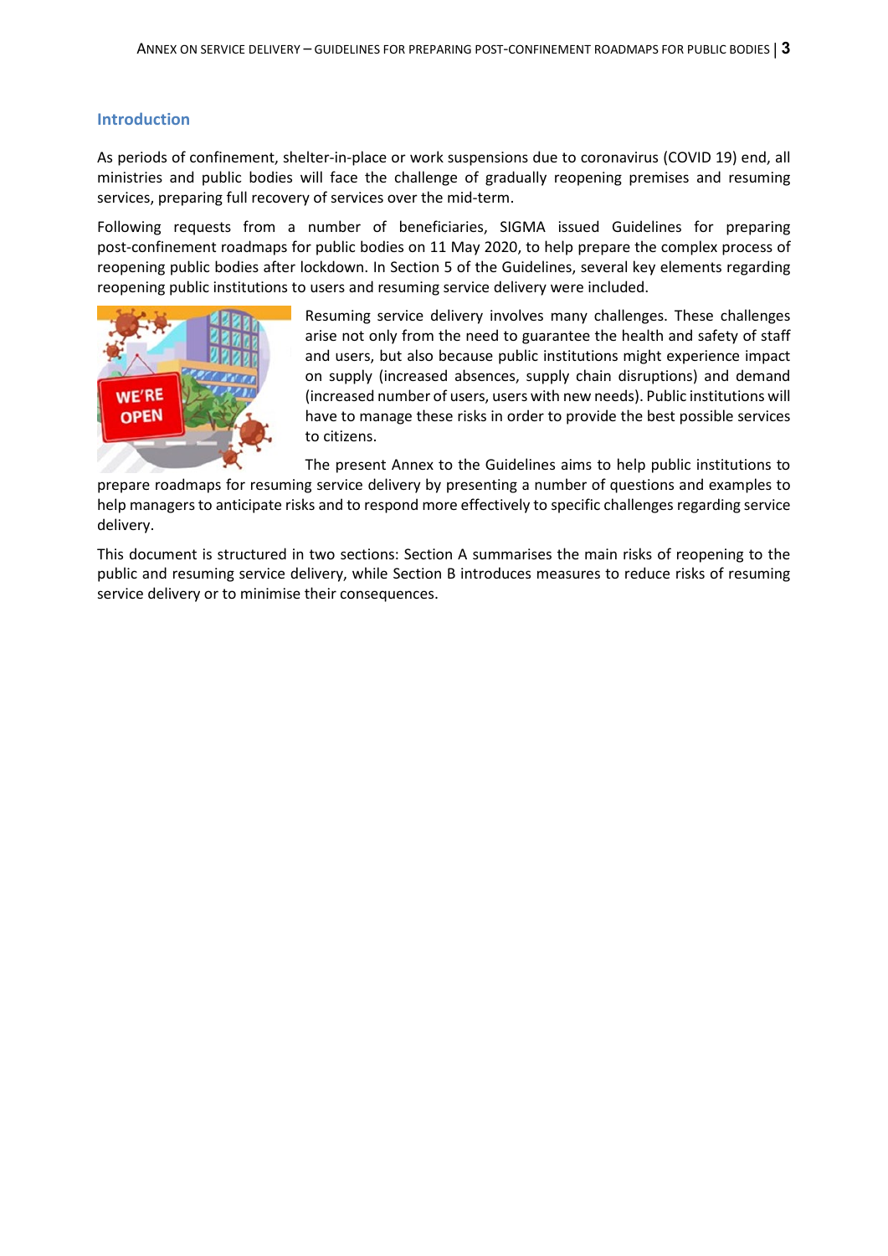#### **Introduction**

As periods of confinement, shelter-in-place or work suspensions due to coronavirus (COVID 19) end, all ministries and public bodies will face the challenge of gradually reopening premises and resuming services, preparing full recovery of services over the mid-term.

Following requests from a number of beneficiaries, SIGMA issued Guidelines for preparing post-confinement roadmaps for public bodies on 11 May 2020, to help prepare the complex process of reopening public bodies after lockdown. In Section 5 of the Guidelines, several key elements regarding reopening public institutions to users and resuming service delivery were included.



Resuming service delivery involves many challenges. These challenges arise not only from the need to guarantee the health and safety of staff and users, but also because public institutions might experience impact on supply (increased absences, supply chain disruptions) and demand (increased number of users, users with new needs). Public institutions will have to manage these risks in order to provide the best possible services to citizens.

The present Annex to the Guidelines aims to help public institutions to

prepare roadmaps for resuming service delivery by presenting a number of questions and examples to help managers to anticipate risks and to respond more effectively to specific challenges regarding service delivery.

This document is structured in two sections: Section A summarises the main risks of reopening to the public and resuming service delivery, while Section B introduces measures to reduce risks of resuming service delivery or to minimise their consequences.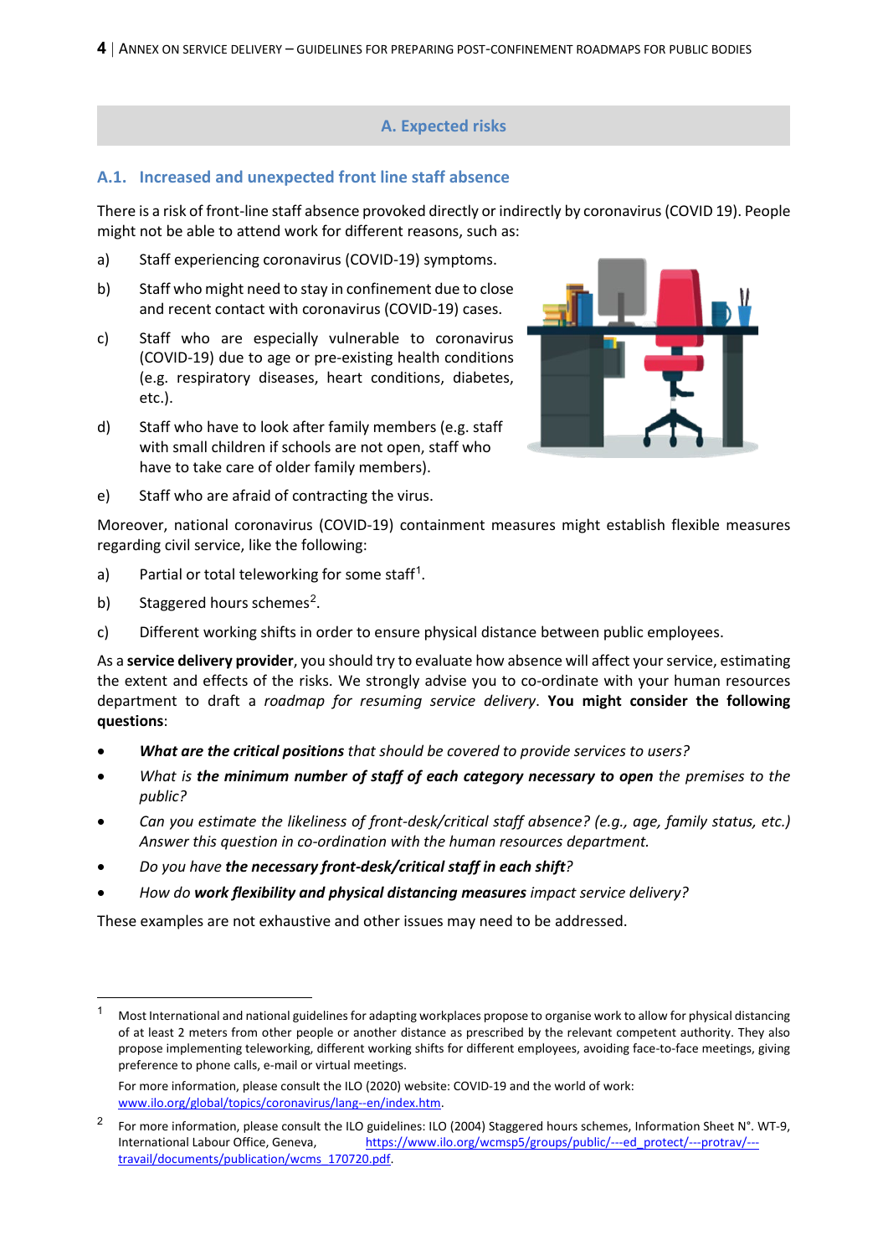#### **A. Expected risks**

#### **A.1. Increased and unexpected front line staff absence**

There is a risk of front-line staff absence provoked directly or indirectly by coronavirus(COVID 19). People might not be able to attend work for different reasons, such as:

- a) Staff experiencing coronavirus (COVID-19) symptoms.
- b) Staff who might need to stay in confinement due to close and recent contact with coronavirus (COVID-19) cases.
- c) Staff who are especially vulnerable to coronavirus (COVID-19) due to age or pre-existing health conditions (e.g. respiratory diseases, heart conditions, diabetes, etc.).
- d) Staff who have to look after family members (e.g. staff with small children if schools are not open, staff who have to take care of older family members).



e) Staff who are afraid of contracting the virus.

Moreover, national coronavirus (COVID-19) containment measures might establish flexible measures regarding civil service, like the following:

- a) Partial or total teleworking for some staff<sup>[1](#page-3-0)</sup>.
- b) Staggered hours schemes<sup>[2](#page-3-1)</sup>.
- c) Different working shifts in order to ensure physical distance between public employees.

As a **service delivery provider**, you should try to evaluate how absence will affect your service, estimating the extent and effects of the risks. We strongly advise you to co-ordinate with your human resources department to draft a *roadmap for resuming service delivery*. **You might consider the following questions**:

- *What are the critical positions that should be covered to provide services to users?*
- *What is the minimum number of staff of each category necessary to open the premises to the public?*
- *Can you estimate the likeliness of front-desk/critical staff absence? (e.g., age, family status, etc.) Answer this question in co-ordination with the human resources department.*
- *Do you have the necessary front-desk/critical staff in each shift?*
- *How do work flexibility and physical distancing measures impact service delivery?*

These examples are not exhaustive and other issues may need to be addressed.

<span id="page-3-0"></span> <sup>1</sup> Most International and national guidelines for adapting workplaces propose to organise work to allow for physical distancing of at least 2 meters from other people or another distance as prescribed by the relevant competent authority. They also propose implementing teleworking, different working shifts for different employees, avoiding face-to-face meetings, giving preference to phone calls, e-mail or virtual meetings.

For more information, please consult the ILO (2020) website: COVID-19 and the world of work: [www.ilo.org/global/topics/coronavirus/lang--en/index.htm.](http://www.ilo.org/global/topics/coronavirus/lang--en/index.htm)

<span id="page-3-1"></span><sup>&</sup>lt;sup>2</sup> For more information, please consult the ILO guidelines: ILO (2004) Staggered hours schemes, Information Sheet N°. WT-9, International Labour Office, Geneva, [https://www.ilo.org/wcmsp5/groups/public/---ed\\_protect/---protrav/--](https://www.ilo.org/wcmsp5/groups/public/---ed_protect/---protrav/---travail/documents/publication/wcms_170720.pdf) [travail/documents/publication/wcms\\_170720.pdf.](https://www.ilo.org/wcmsp5/groups/public/---ed_protect/---protrav/---travail/documents/publication/wcms_170720.pdf)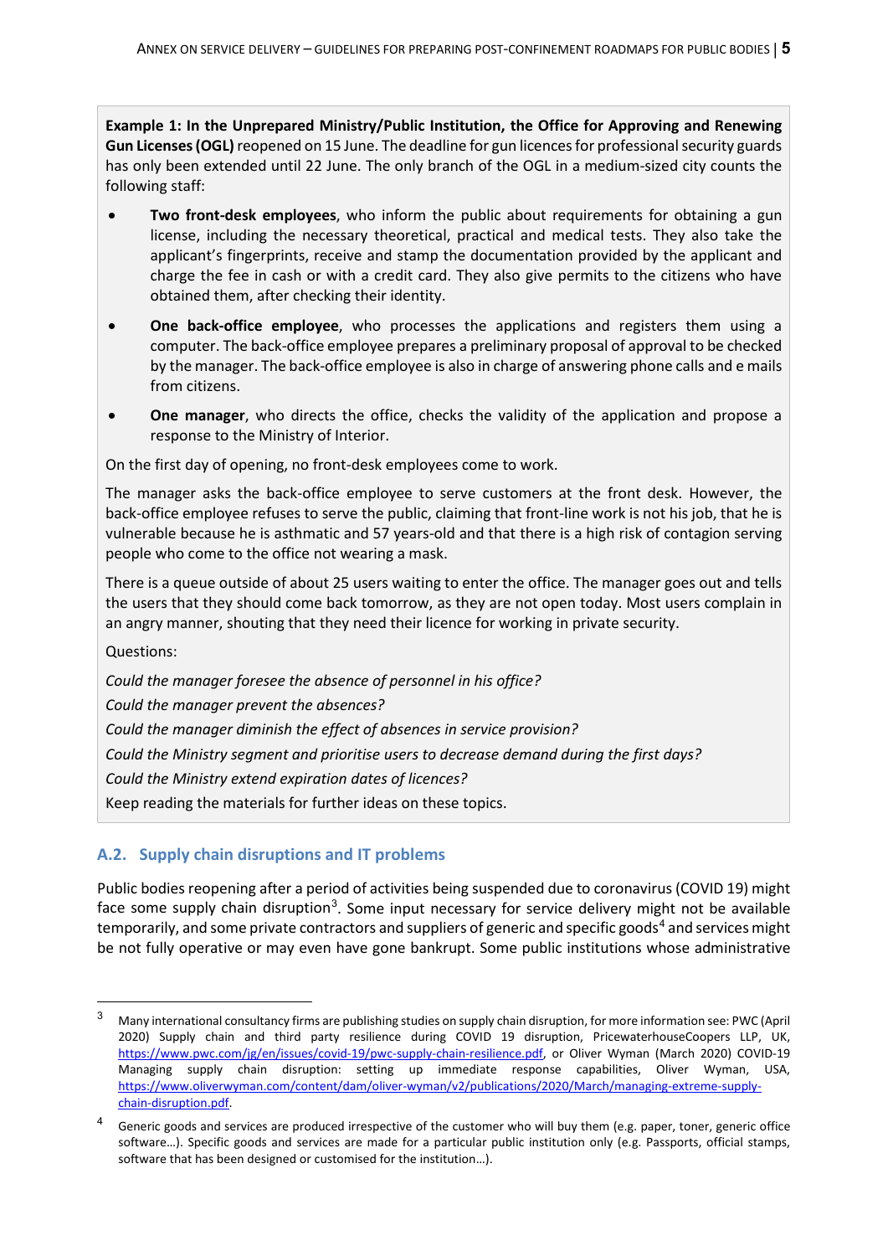**Example 1: In the Unprepared Ministry/Public Institution, the Office for Approving and Renewing Gun Licenses (OGL)**reopened on 15 June. The deadline for gun licences for professional security guards has only been extended until 22 June. The only branch of the OGL in a medium-sized city counts the following staff:

- **Two front-desk employees**, who inform the public about requirements for obtaining a gun license, including the necessary theoretical, practical and medical tests. They also take the applicant's fingerprints, receive and stamp the documentation provided by the applicant and charge the fee in cash or with a credit card. They also give permits to the citizens who have obtained them, after checking their identity.
- **One back-office employee**, who processes the applications and registers them using a computer. The back-office employee prepares a preliminary proposal of approval to be checked by the manager. The back-office employee is also in charge of answering phone calls and e mails from citizens.
- **One manager**, who directs the office, checks the validity of the application and propose a response to the Ministry of Interior.

On the first day of opening, no front-desk employees come to work.

The manager asks the back-office employee to serve customers at the front desk. However, the back-office employee refuses to serve the public, claiming that front-line work is not his job, that he is vulnerable because he is asthmatic and 57 years-old and that there is a high risk of contagion serving people who come to the office not wearing a mask.

There is a queue outside of about 25 users waiting to enter the office. The manager goes out and tells the users that they should come back tomorrow, as they are not open today. Most users complain in an angry manner, shouting that they need their licence for working in private security.

Questions:

*Could the manager foresee the absence of personnel in his office? Could the manager prevent the absences? Could the manager diminish the effect of absences in service provision? Could the Ministry segment and prioritise users to decrease demand during the first days? Could the Ministry extend expiration dates of licences?* Keep reading the materials for further ideas on these topics.

#### **A.2. Supply chain disruptions and IT problems**

Public bodies reopening after a period of activities being suspended due to coronavirus (COVID 19) might face some supply chain disruption<sup>[3](#page-4-0)</sup>. Some input necessary for service delivery might not be available temporarily, and some private contractors and suppliers of generic and specific goods<sup>[4](#page-4-1)</sup> and services might be not fully operative or may even have gone bankrupt. Some public institutions whose administrative

<span id="page-4-0"></span> <sup>3</sup> Many international consultancy firms are publishing studies on supply chain disruption, for more information see: PWC (April 2020) Supply chain and third party resilience during COVID 19 disruption, PricewaterhouseCoopers LLP, UK, [https://www.pwc.com/jg/en/issues/covid-19/pwc-supply-chain-resilience.pdf,](https://www.pwc.com/jg/en/issues/covid-19/pwc-supply-chain-resilience.pdf) or Oliver Wyman (March 2020) COVID-19 Managing supply chain disruption: setting up immediate response capabilities, Oliver Wyman, USA, [https://www.oliverwyman.com/content/dam/oliver-wyman/v2/publications/2020/March/managing-extreme-supply](https://www.oliverwyman.com/content/dam/oliver-wyman/v2/publications/2020/March/managing-extreme-supply-chain-disruption.pdf)[chain-disruption.pdf.](https://www.oliverwyman.com/content/dam/oliver-wyman/v2/publications/2020/March/managing-extreme-supply-chain-disruption.pdf)

<span id="page-4-1"></span>Generic goods and services are produced irrespective of the customer who will buy them (e.g. paper, toner, generic office software…). Specific goods and services are made for a particular public institution only (e.g. Passports, official stamps, software that has been designed or customised for the institution…).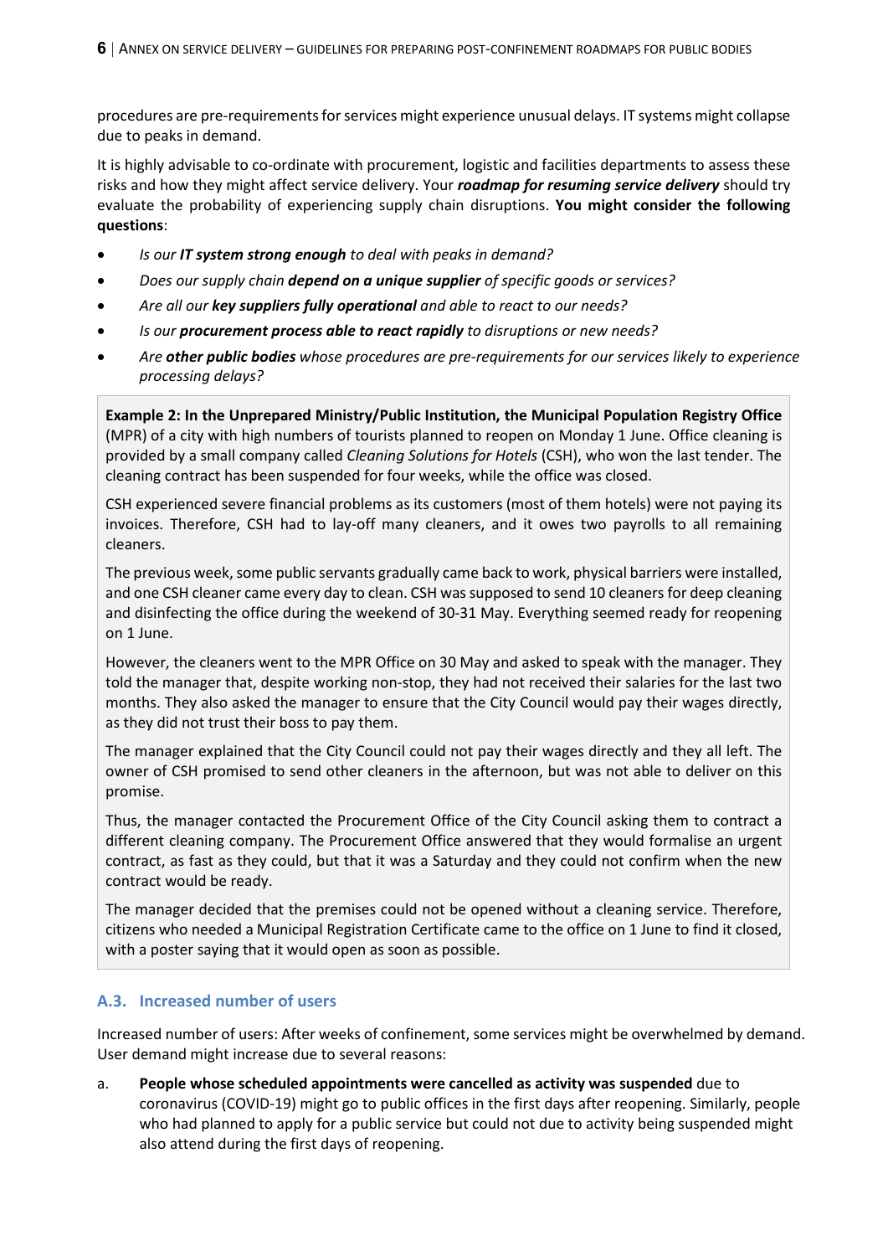procedures are pre-requirements for services might experience unusual delays. IT systems might collapse due to peaks in demand.

It is highly advisable to co-ordinate with procurement, logistic and facilities departments to assess these risks and how they might affect service delivery. Your *roadmap for resuming service delivery* should try evaluate the probability of experiencing supply chain disruptions. **You might consider the following questions**:

- *Is our IT system strong enough to deal with peaks in demand?*
- *Does our supply chain depend on a unique supplier of specific goods or services?*
- *Are all our key suppliers fully operational and able to react to our needs?*
- *Is our procurement process able to react rapidly to disruptions or new needs?*
- *Are other public bodies whose procedures are pre-requirements for our services likely to experience processing delays?*

**Example 2: In the Unprepared Ministry/Public Institution, the Municipal Population Registry Office**  (MPR) of a city with high numbers of tourists planned to reopen on Monday 1 June. Office cleaning is provided by a small company called *Cleaning Solutions for Hotels* (CSH), who won the last tender. The cleaning contract has been suspended for four weeks, while the office was closed.

CSH experienced severe financial problems as its customers (most of them hotels) were not paying its invoices. Therefore, CSH had to lay-off many cleaners, and it owes two payrolls to all remaining cleaners.

The previous week, some public servants gradually came back to work, physical barriers were installed, and one CSH cleaner came every day to clean. CSH was supposed to send 10 cleaners for deep cleaning and disinfecting the office during the weekend of 30-31 May. Everything seemed ready for reopening on 1 June.

However, the cleaners went to the MPR Office on 30 May and asked to speak with the manager. They told the manager that, despite working non-stop, they had not received their salaries for the last two months. They also asked the manager to ensure that the City Council would pay their wages directly, as they did not trust their boss to pay them.

The manager explained that the City Council could not pay their wages directly and they all left. The owner of CSH promised to send other cleaners in the afternoon, but was not able to deliver on this promise.

Thus, the manager contacted the Procurement Office of the City Council asking them to contract a different cleaning company. The Procurement Office answered that they would formalise an urgent contract, as fast as they could, but that it was a Saturday and they could not confirm when the new contract would be ready.

The manager decided that the premises could not be opened without a cleaning service. Therefore, citizens who needed a Municipal Registration Certificate came to the office on 1 June to find it closed, with a poster saying that it would open as soon as possible.

#### **A.3. Increased number of users**

Increased number of users: After weeks of confinement, some services might be overwhelmed by demand. User demand might increase due to several reasons:

a. **People whose scheduled appointments were cancelled as activity was suspended** due to coronavirus (COVID-19) might go to public offices in the first days after reopening. Similarly, people who had planned to apply for a public service but could not due to activity being suspended might also attend during the first days of reopening.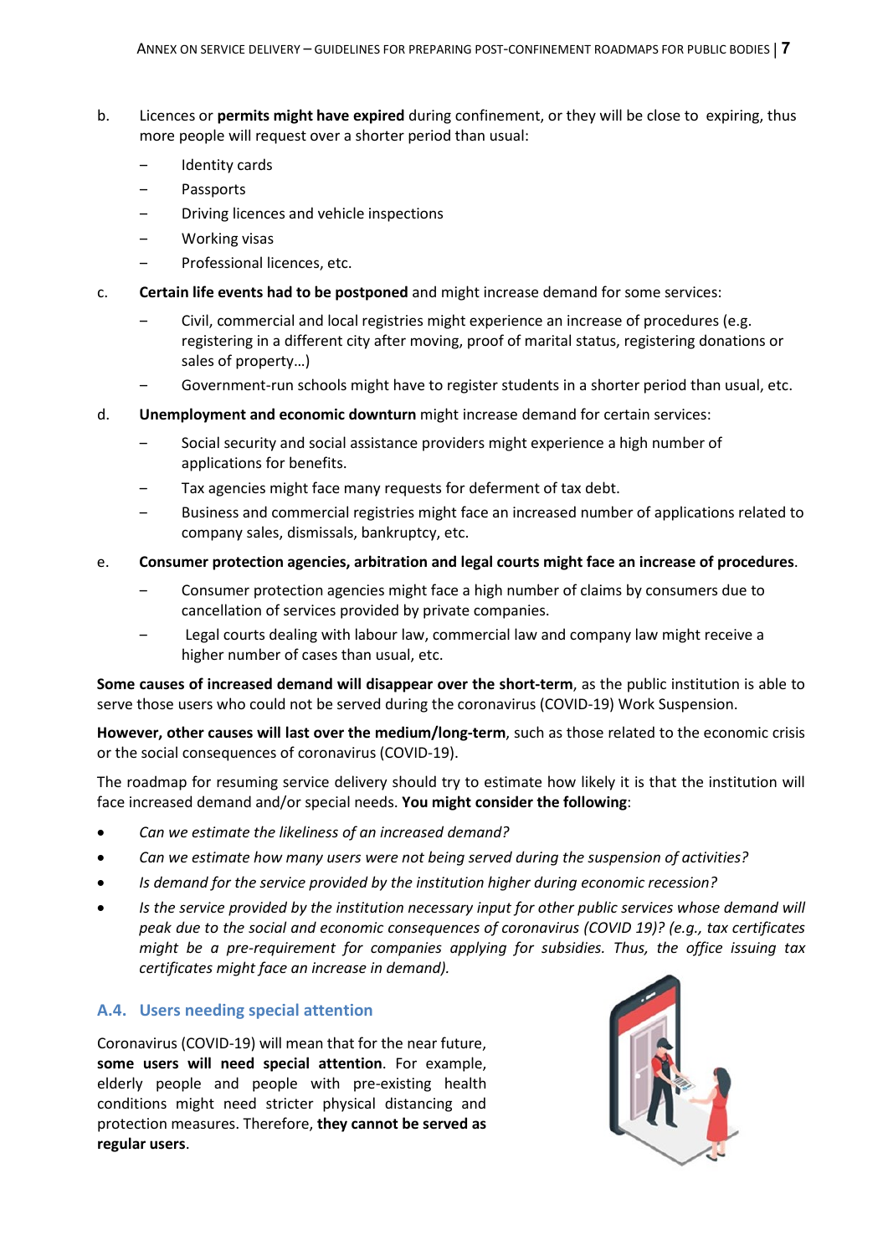- b. Licences or **permits might have expired** during confinement, or they will be close to expiring, thus more people will request over a shorter period than usual:
	- ‒ Identity cards
	- ‒ Passports
	- ‒ Driving licences and vehicle inspections
	- ‒ Working visas
	- ‒ Professional licences, etc.
- c. **Certain life events had to be postponed** and might increase demand for some services:
	- ‒ Civil, commercial and local registries might experience an increase of procedures (e.g. registering in a different city after moving, proof of marital status, registering donations or sales of property…)
	- Government-run schools might have to register students in a shorter period than usual, etc.
- d. **Unemployment and economic downturn** might increase demand for certain services:
	- ‒ Social security and social assistance providers might experience a high number of applications for benefits.
	- Tax agencies might face many requests for deferment of tax debt.
	- ‒ Business and commercial registries might face an increased number of applications related to company sales, dismissals, bankruptcy, etc.

#### e. **Consumer protection agencies, arbitration and legal courts might face an increase of procedures**.

- ‒ Consumer protection agencies might face a high number of claims by consumers due to cancellation of services provided by private companies.
- ‒ Legal courts dealing with labour law, commercial law and company law might receive a higher number of cases than usual, etc.

**Some causes of increased demand will disappear over the short-term**, as the public institution is able to serve those users who could not be served during the coronavirus (COVID-19) Work Suspension.

**However, other causes will last over the medium/long-term**, such as those related to the economic crisis or the social consequences of coronavirus (COVID-19).

The roadmap for resuming service delivery should try to estimate how likely it is that the institution will face increased demand and/or special needs. **You might consider the following**:

- *Can we estimate the likeliness of an increased demand?*
- *Can we estimate how many users were not being served during the suspension of activities?*
- *Is demand for the service provided by the institution higher during economic recession?*
- *Is the service provided by the institution necessary input for other public services whose demand will peak due to the social and economic consequences of coronavirus (COVID 19)? (e.g., tax certificates might be a pre-requirement for companies applying for subsidies. Thus, the office issuing tax certificates might face an increase in demand).*

#### **A.4. Users needing special attention**

Coronavirus (COVID-19) will mean that for the near future, **some users will need special attention**. For example, elderly people and people with pre-existing health conditions might need stricter physical distancing and protection measures. Therefore, **they cannot be served as regular users**.

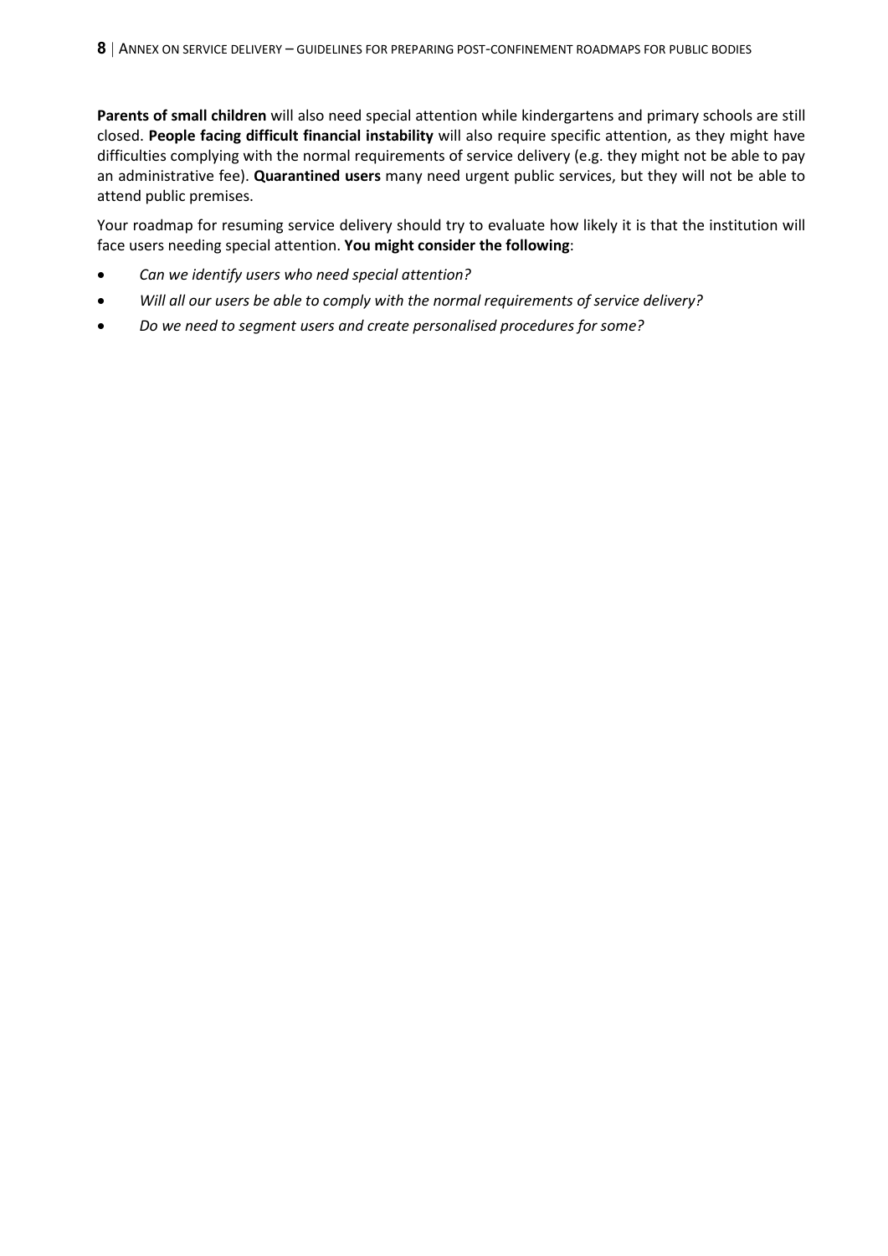**Parents of small children** will also need special attention while kindergartens and primary schools are still closed. **People facing difficult financial instability** will also require specific attention, as they might have difficulties complying with the normal requirements of service delivery (e.g. they might not be able to pay an administrative fee). **Quarantined users** many need urgent public services, but they will not be able to attend public premises.

Your roadmap for resuming service delivery should try to evaluate how likely it is that the institution will face users needing special attention. **You might consider the following**:

- *Can we identify users who need special attention?*
- *Will all our users be able to comply with the normal requirements of service delivery?*
- *Do we need to segment users and create personalised procedures for some?*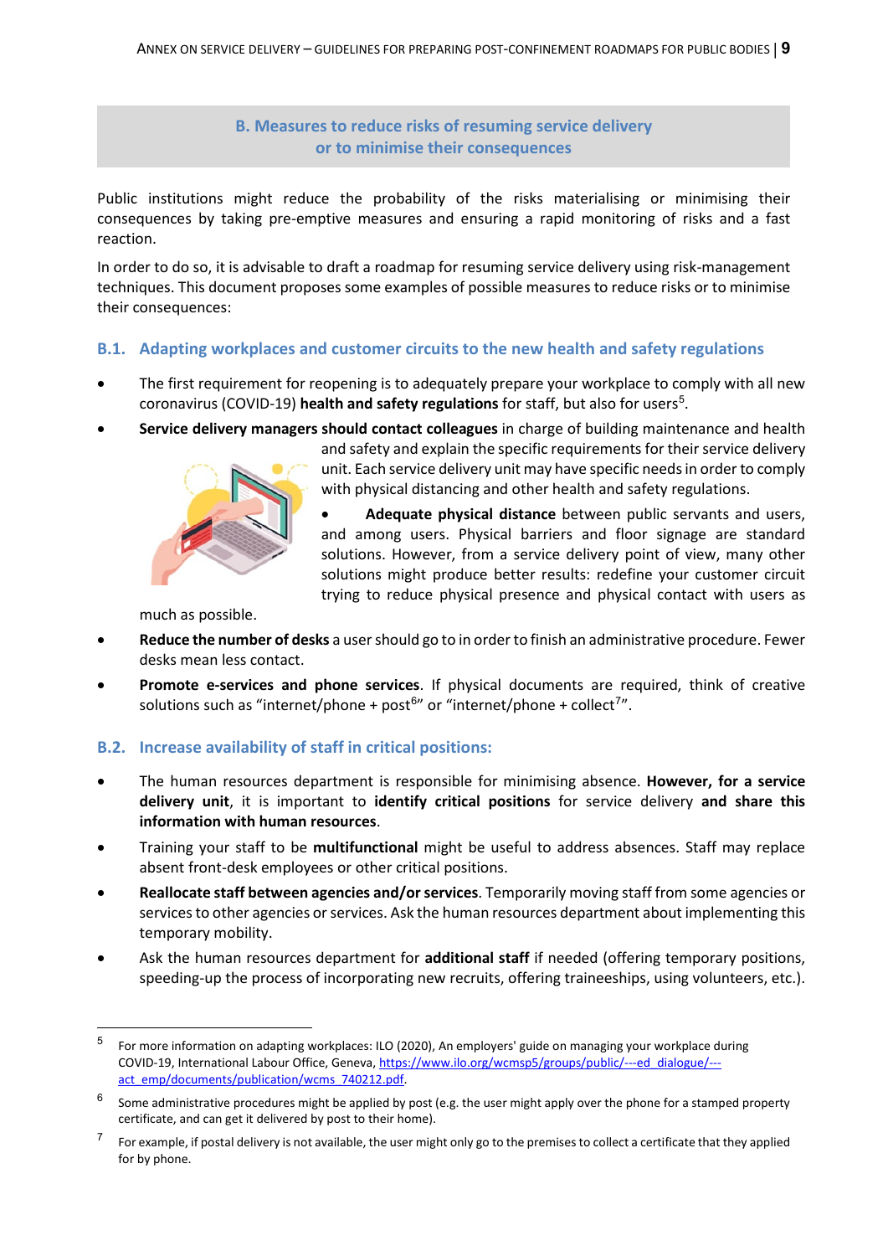**B. Measures to reduce risks of resuming service delivery or to minimise their consequences**

Public institutions might reduce the probability of the risks materialising or minimising their consequences by taking pre-emptive measures and ensuring a rapid monitoring of risks and a fast reaction.

In order to do so, it is advisable to draft a roadmap for resuming service delivery using risk-management techniques. This document proposes some examples of possible measures to reduce risks or to minimise their consequences:

#### **B.1. Adapting workplaces and customer circuits to the new health and safety regulations**

- The first requirement for reopening is to adequately prepare your workplace to comply with all new coronavirus (COVID-19) **health and safety regulations** for staff, but also for users<sup>[5](#page-8-0)</sup>.
- **Service delivery managers should contact colleagues** in charge of building maintenance and health



and safety and explain the specific requirements for their service delivery unit. Each service delivery unit may have specific needs in order to comply with physical distancing and other health and safety regulations.

• **Adequate physical distance** between public servants and users, and among users. Physical barriers and floor signage are standard solutions. However, from a service delivery point of view, many other solutions might produce better results: redefine your customer circuit trying to reduce physical presence and physical contact with users as

much as possible.

- **Reduce the number of desks** a user should go to in order to finish an administrative procedure. Fewer desks mean less contact.
- **Promote e-services and phone services**. If physical documents are required, think of creative solutions such as "internet/phone + post $^{6n}$  $^{6n}$  $^{6n}$  or "internet/phone + collect<sup>[7](#page-8-2)</sup>".

#### **B.2. Increase availability of staff in critical positions:**

- The human resources department is responsible for minimising absence. **However, for a service delivery unit**, it is important to **identify critical positions** for service delivery **and share this information with human resources**.
- Training your staff to be **multifunctional** might be useful to address absences. Staff may replace absent front-desk employees or other critical positions.
- **Reallocate staff between agencies and/or services**. Temporarily moving staff from some agencies or services to other agencies or services. Ask the human resources department about implementing this temporary mobility.
- Ask the human resources department for **additional staff** if needed (offering temporary positions, speeding-up the process of incorporating new recruits, offering traineeships, using volunteers, etc.).

<span id="page-8-0"></span> <sup>5</sup> For more information on adapting workplaces: ILO (2020), An employers' guide on managing your workplace during COVID-19, International Labour Office, Geneva[, https://www.ilo.org/wcmsp5/groups/public/---ed\\_dialogue/--](https://www.ilo.org/wcmsp5/groups/public/---ed_dialogue/---act_emp/documents/publication/wcms_740212.pdf) [act\\_emp/documents/publication/wcms\\_740212.pdf.](https://www.ilo.org/wcmsp5/groups/public/---ed_dialogue/---act_emp/documents/publication/wcms_740212.pdf)

<span id="page-8-1"></span> $6$  Some administrative procedures might be applied by post (e.g. the user might apply over the phone for a stamped property certificate, and can get it delivered by post to their home).

<span id="page-8-2"></span> $7$  For example, if postal delivery is not available, the user might only go to the premises to collect a certificate that they applied for by phone.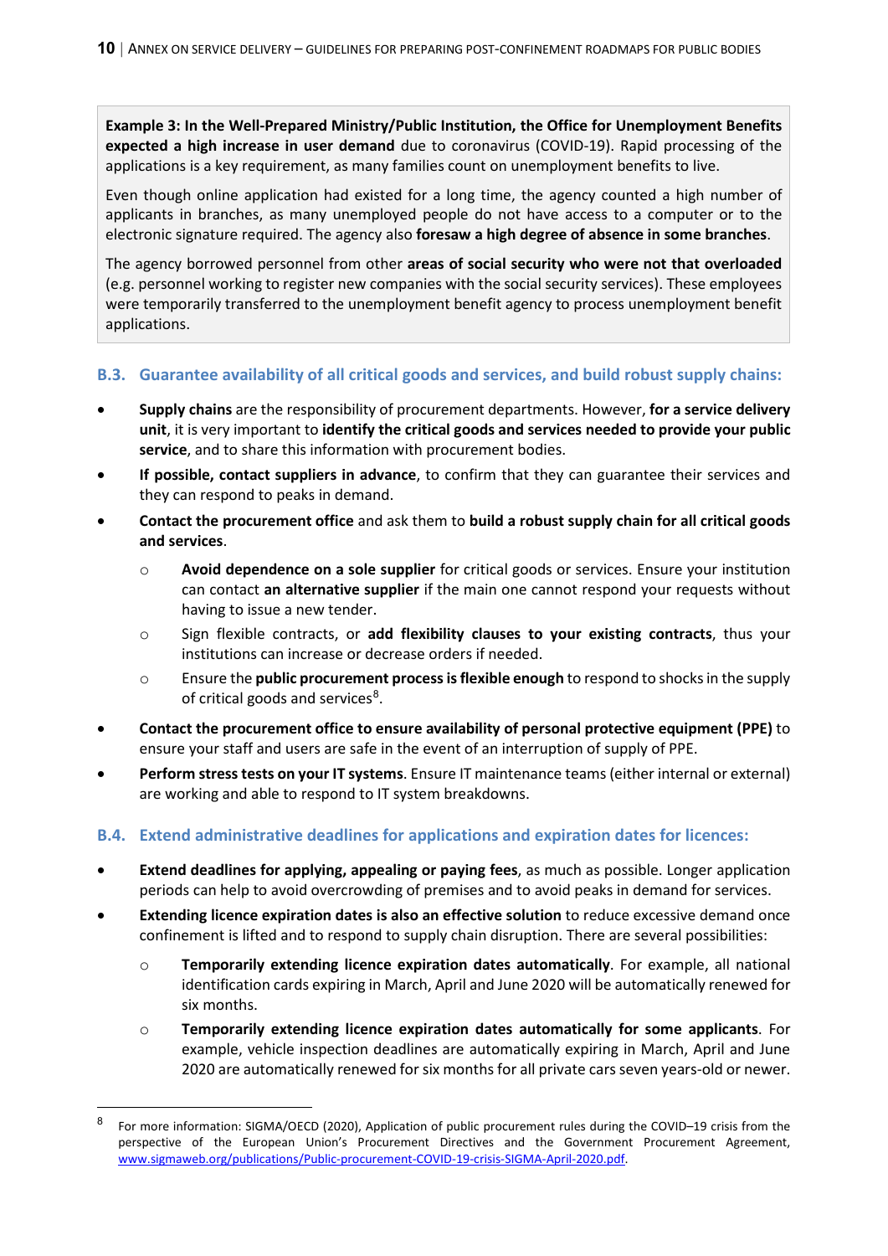**Example 3: In the Well-Prepared Ministry/Public Institution, the Office for Unemployment Benefits expected a high increase in user demand** due to coronavirus (COVID-19). Rapid processing of the applications is a key requirement, as many families count on unemployment benefits to live.

Even though online application had existed for a long time, the agency counted a high number of applicants in branches, as many unemployed people do not have access to a computer or to the electronic signature required. The agency also **foresaw a high degree of absence in some branches**.

The agency borrowed personnel from other **areas of social security who were not that overloaded** (e.g. personnel working to register new companies with the social security services). These employees were temporarily transferred to the unemployment benefit agency to process unemployment benefit applications.

#### **B.3. Guarantee availability of all critical goods and services, and build robust supply chains:**

- **Supply chains** are the responsibility of procurement departments. However, **for a service delivery unit**, it is very important to **identify the critical goods and services needed to provide your public service**, and to share this information with procurement bodies.
- **If possible, contact suppliers in advance**, to confirm that they can guarantee their services and they can respond to peaks in demand.
- **Contact the procurement office** and ask them to **build a robust supply chain for all critical goods and services**.
	- o **Avoid dependence on a sole supplier** for critical goods or services. Ensure your institution can contact **an alternative supplier** if the main one cannot respond your requests without having to issue a new tender.
	- o Sign flexible contracts, or **add flexibility clauses to your existing contracts**, thus your institutions can increase or decrease orders if needed.
	- o Ensure the **public procurement process is flexible enough** to respond to shocks in the supply of critical goods and services<sup>[8](#page-9-0)</sup>.
- **Contact the procurement office to ensure availability of personal protective equipment (PPE)** to ensure your staff and users are safe in the event of an interruption of supply of PPE.
- **Perform stress tests on your IT systems**. Ensure IT maintenance teams (either internal or external) are working and able to respond to IT system breakdowns.

#### **B.4. Extend administrative deadlines for applications and expiration dates for licences:**

- **Extend deadlines for applying, appealing or paying fees**, as much as possible. Longer application periods can help to avoid overcrowding of premises and to avoid peaks in demand for services.
- **Extending licence expiration dates is also an effective solution** to reduce excessive demand once confinement is lifted and to respond to supply chain disruption. There are several possibilities:
	- o **Temporarily extending licence expiration dates automatically**. For example, all national identification cards expiring in March, April and June 2020 will be automatically renewed for six months.
	- o **Temporarily extending licence expiration dates automatically for some applicants**. For example, vehicle inspection deadlines are automatically expiring in March, April and June 2020 are automatically renewed for six months for all private cars seven years-old or newer.

<span id="page-9-0"></span><sup>8</sup> For more information: SIGMA/OECD (2020), Application of public procurement rules during the COVID–19 crisis from the perspective of the European Union's Procurement Directives and the Government Procurement Agreement, [www.sigmaweb.org/publications/Public-procurement-COVID-19-crisis-SIGMA-April-2020.pdf.](http://www.sigmaweb.org/publications/Public-procurement-COVID-19-crisis-SIGMA-April-2020.pdf)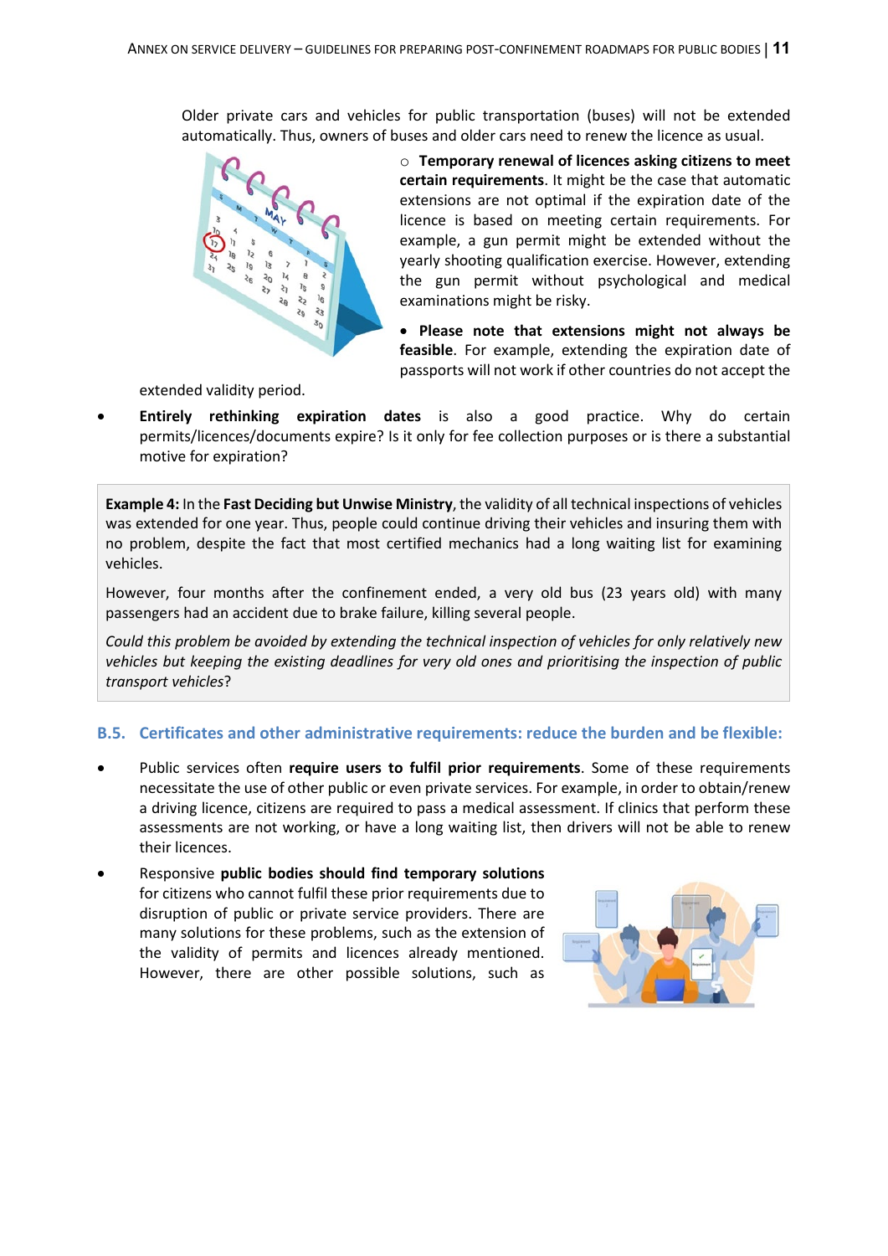Older private cars and vehicles for public transportation (buses) will not be extended automatically. Thus, owners of buses and older cars need to renew the licence as usual.



o **Temporary renewal of licences asking citizens to meet certain requirements**. It might be the case that automatic extensions are not optimal if the expiration date of the licence is based on meeting certain requirements. For example, a gun permit might be extended without the yearly shooting qualification exercise. However, extending the gun permit without psychological and medical examinations might be risky.

• **Please note that extensions might not always be feasible**. For example, extending the expiration date of passports will not work if other countries do not accept the

extended validity period.

• **Entirely rethinking expiration dates** is also a good practice. Why do certain permits/licences/documents expire? Is it only for fee collection purposes or is there a substantial motive for expiration?

**Example 4:** In the **Fast Deciding but Unwise Ministry**, the validity of all technical inspections of vehicles was extended for one year. Thus, people could continue driving their vehicles and insuring them with no problem, despite the fact that most certified mechanics had a long waiting list for examining vehicles.

However, four months after the confinement ended, a very old bus (23 years old) with many passengers had an accident due to brake failure, killing several people.

*Could this problem be avoided by extending the technical inspection of vehicles for only relatively new vehicles but keeping the existing deadlines for very old ones and prioritising the inspection of public transport vehicles*?

#### **B.5. Certificates and other administrative requirements: reduce the burden and be flexible:**

- Public services often **require users to fulfil prior requirements**. Some of these requirements necessitate the use of other public or even private services. For example, in order to obtain/renew a driving licence, citizens are required to pass a medical assessment. If clinics that perform these assessments are not working, or have a long waiting list, then drivers will not be able to renew their licences.
- Responsive **public bodies should find temporary solutions** for citizens who cannot fulfil these prior requirements due to disruption of public or private service providers. There are many solutions for these problems, such as the extension of the validity of permits and licences already mentioned. However, there are other possible solutions, such as

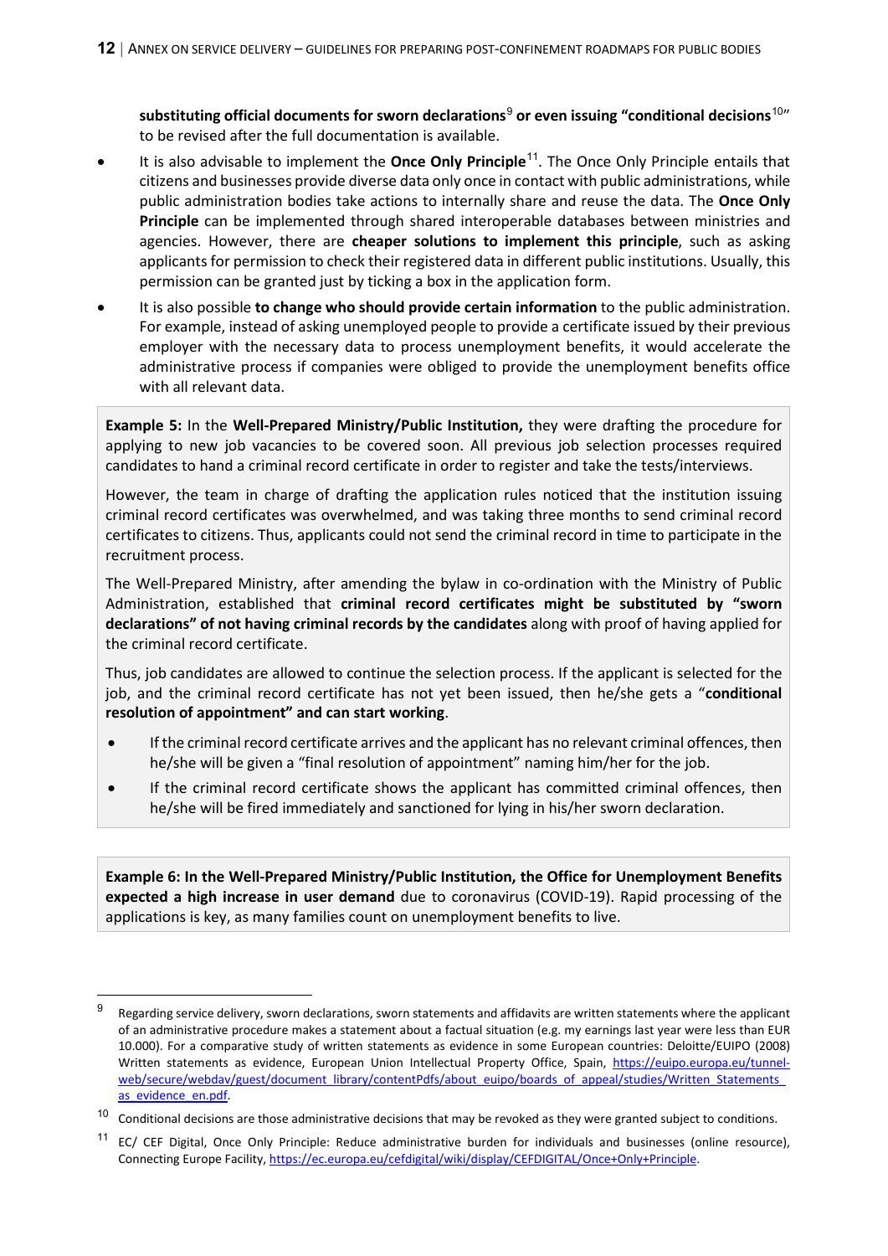**substituting official documents for sworn declarations**[9](#page-11-0) **or even issuing "conditional decisions**[10](#page-11-1)" to be revised after the full documentation is available.

- It is also advisable to implement the **Once Only Principle**[11](#page-11-2). The Once Only Principle entails that citizens and businesses provide diverse data only once in contact with public administrations, while public administration bodies take actions to internally share and reuse the data. The **Once Only Principle** can be implemented through shared interoperable databases between ministries and agencies. However, there are **cheaper solutions to implement this principle**, such as asking applicants for permission to check their registered data in different public institutions. Usually, this permission can be granted just by ticking a box in the application form.
- It is also possible **to change who should provide certain information** to the public administration. For example, instead of asking unemployed people to provide a certificate issued by their previous employer with the necessary data to process unemployment benefits, it would accelerate the administrative process if companies were obliged to provide the unemployment benefits office with all relevant data.

**Example 5:** In the **Well-Prepared Ministry/Public Institution,** they were drafting the procedure for applying to new job vacancies to be covered soon. All previous job selection processes required candidates to hand a criminal record certificate in order to register and take the tests/interviews.

However, the team in charge of drafting the application rules noticed that the institution issuing criminal record certificates was overwhelmed, and was taking three months to send criminal record certificates to citizens. Thus, applicants could not send the criminal record in time to participate in the recruitment process.

The Well-Prepared Ministry, after amending the bylaw in co-ordination with the Ministry of Public Administration, established that **criminal record certificates might be substituted by "sworn declarations" of not having criminal records by the candidates** along with proof of having applied for the criminal record certificate.

Thus, job candidates are allowed to continue the selection process. If the applicant is selected for the job, and the criminal record certificate has not yet been issued, then he/she gets a "**conditional resolution of appointment" and can start working**.

- If the criminal record certificate arrives and the applicant has no relevant criminal offences, then he/she will be given a "final resolution of appointment" naming him/her for the job.
- If the criminal record certificate shows the applicant has committed criminal offences, then he/she will be fired immediately and sanctioned for lying in his/her sworn declaration.

**Example 6: In the Well-Prepared Ministry/Public Institution, the Office for Unemployment Benefits expected a high increase in user demand** due to coronavirus (COVID-19). Rapid processing of the applications is key, as many families count on unemployment benefits to live.

<span id="page-11-0"></span>Regarding service delivery, sworn declarations, sworn statements and affidavits are written statements where the applicant of an administrative procedure makes a statement about a factual situation (e.g. my earnings last year were less than EUR 10.000). For a comparative study of written statements as evidence in some European countries: Deloitte/EUIPO (2008) Written statements as evidence, European Union Intellectual Property Office, Spain, [https://euipo.europa.eu/tunnel](https://euipo.europa.eu/tunnel-web/secure/webdav/guest/document_library/contentPdfs/about_euipo/boards_of_appeal/studies/Written_Statements_as_evidence_en.pdf)web/secure/webdav/guest/document\_library/contentPdfs/about\_euipo/boards\_of\_appeal/studies/Written\_Statements as evidence en.pdf.

<span id="page-11-1"></span> $10$  Conditional decisions are those administrative decisions that may be revoked as they were granted subject to conditions.

<span id="page-11-2"></span> $11$  EC/ CEF Digital, Once Only Principle: Reduce administrative burden for individuals and businesses (online resource), Connecting Europe Facility, [https://ec.europa.eu/cefdigital/wiki/display/CEFDIGITAL/Once+Only+Principle.](https://ec.europa.eu/cefdigital/wiki/display/CEFDIGITAL/Once+Only+Principle)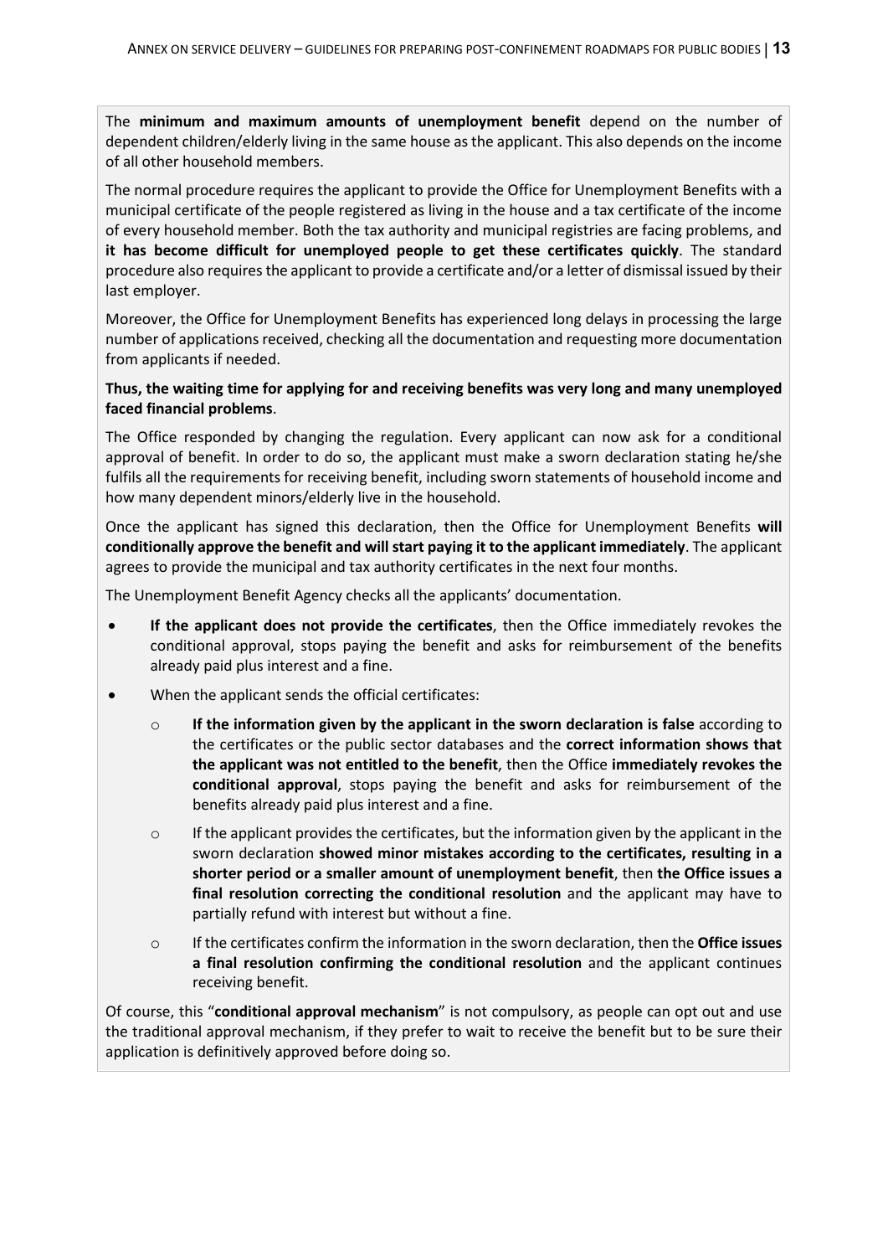The **minimum and maximum amounts of unemployment benefit** depend on the number of dependent children/elderly living in the same house as the applicant. This also depends on the income of all other household members.

The normal procedure requires the applicant to provide the Office for Unemployment Benefits with a municipal certificate of the people registered as living in the house and a tax certificate of the income of every household member. Both the tax authority and municipal registries are facing problems, and **it has become difficult for unemployed people to get these certificates quickly**. The standard procedure also requires the applicant to provide a certificate and/or a letter of dismissal issued by their last employer.

Moreover, the Office for Unemployment Benefits has experienced long delays in processing the large number of applications received, checking all the documentation and requesting more documentation from applicants if needed.

#### **Thus, the waiting time for applying for and receiving benefits was very long and many unemployed faced financial problems**.

The Office responded by changing the regulation. Every applicant can now ask for a conditional approval of benefit. In order to do so, the applicant must make a sworn declaration stating he/she fulfils all the requirements for receiving benefit, including sworn statements of household income and how many dependent minors/elderly live in the household.

Once the applicant has signed this declaration, then the Office for Unemployment Benefits **will conditionally approve the benefit and will start paying it to the applicant immediately**. The applicant agrees to provide the municipal and tax authority certificates in the next four months.

The Unemployment Benefit Agency checks all the applicants' documentation.

- **If the applicant does not provide the certificates**, then the Office immediately revokes the conditional approval, stops paying the benefit and asks for reimbursement of the benefits already paid plus interest and a fine.
- When the applicant sends the official certificates:
	- o **If the information given by the applicant in the sworn declaration is false** according to the certificates or the public sector databases and the **correct information shows that the applicant was not entitled to the benefit**, then the Office **immediately revokes the conditional approval**, stops paying the benefit and asks for reimbursement of the benefits already paid plus interest and a fine.
	- $\circ$  If the applicant provides the certificates, but the information given by the applicant in the sworn declaration **showed minor mistakes according to the certificates, resulting in a shorter period or a smaller amount of unemployment benefit**, then **the Office issues a final resolution correcting the conditional resolution** and the applicant may have to partially refund with interest but without a fine.
	- o If the certificates confirm the information in the sworn declaration, then the **Office issues a final resolution confirming the conditional resolution** and the applicant continues receiving benefit.

Of course, this "**conditional approval mechanism**" is not compulsory, as people can opt out and use the traditional approval mechanism, if they prefer to wait to receive the benefit but to be sure their application is definitively approved before doing so.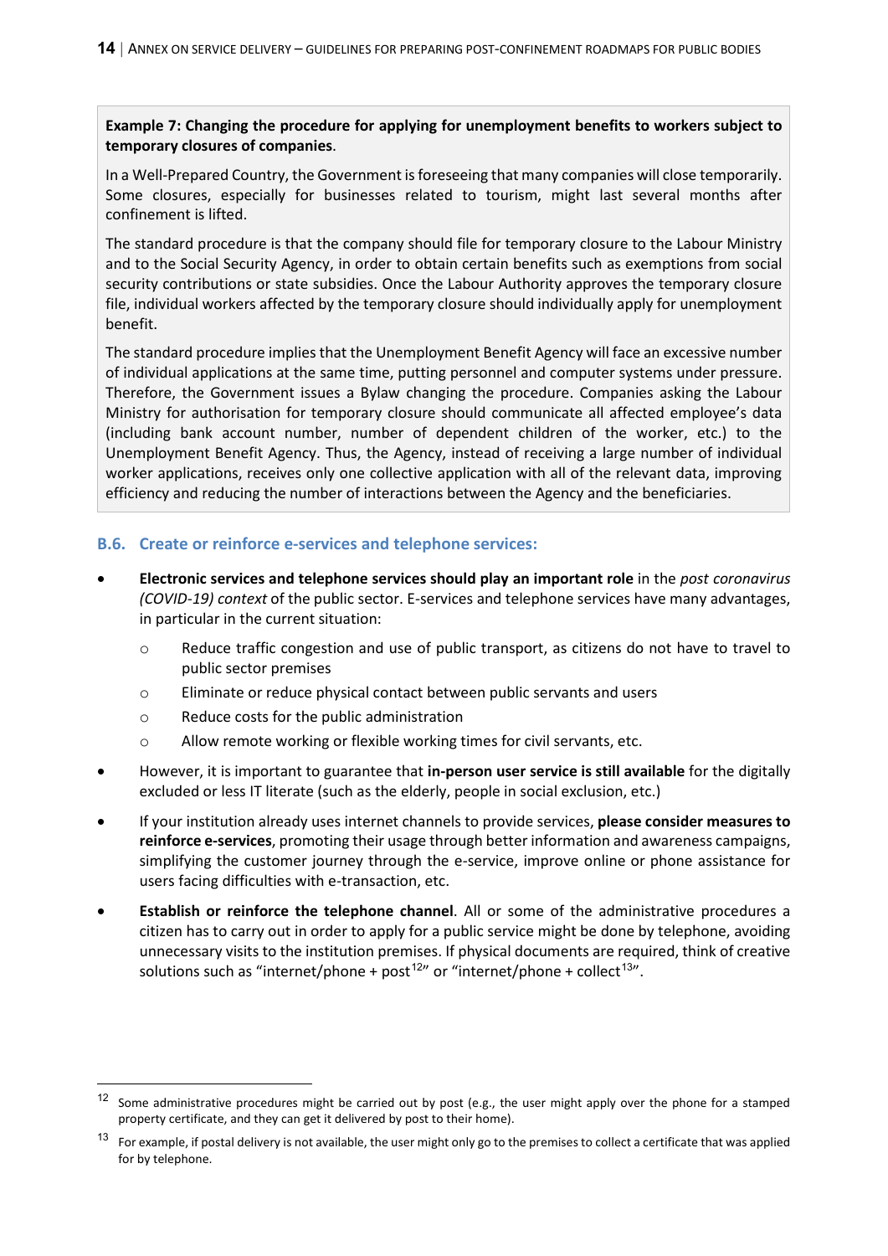**Example 7: Changing the procedure for applying for unemployment benefits to workers subject to temporary closures of companies**.

In a Well-Prepared Country, the Government is foreseeing that many companies will close temporarily. Some closures, especially for businesses related to tourism, might last several months after confinement is lifted.

The standard procedure is that the company should file for temporary closure to the Labour Ministry and to the Social Security Agency, in order to obtain certain benefits such as exemptions from social security contributions or state subsidies. Once the Labour Authority approves the temporary closure file, individual workers affected by the temporary closure should individually apply for unemployment benefit.

The standard procedure implies that the Unemployment Benefit Agency will face an excessive number of individual applications at the same time, putting personnel and computer systems under pressure. Therefore, the Government issues a Bylaw changing the procedure. Companies asking the Labour Ministry for authorisation for temporary closure should communicate all affected employee's data (including bank account number, number of dependent children of the worker, etc.) to the Unemployment Benefit Agency. Thus, the Agency, instead of receiving a large number of individual worker applications, receives only one collective application with all of the relevant data, improving efficiency and reducing the number of interactions between the Agency and the beneficiaries.

#### **B.6. Create or reinforce e-services and telephone services:**

- **Electronic services and telephone services should play an important role** in the *post coronavirus (COVID-19) context* of the public sector. E-services and telephone services have many advantages, in particular in the current situation:
	- $\circ$  Reduce traffic congestion and use of public transport, as citizens do not have to travel to public sector premises
	- o Eliminate or reduce physical contact between public servants and users
	- o Reduce costs for the public administration
	- o Allow remote working or flexible working times for civil servants, etc.
- However, it is important to guarantee that **in-person user service is still available** for the digitally excluded or less IT literate (such as the elderly, people in social exclusion, etc.)
- If your institution already uses internet channels to provide services, **please consider measures to reinforce e-services**, promoting their usage through better information and awareness campaigns, simplifying the customer journey through the e-service, improve online or phone assistance for users facing difficulties with e-transaction, etc.
- **Establish or reinforce the telephone channel**. All or some of the administrative procedures a citizen has to carry out in order to apply for a public service might be done by telephone, avoiding unnecessary visits to the institution premises. If physical documents are required, think of creative solutions such as "internet/phone + post<sup>[12](#page-13-0)"</sup> or "internet/phone + collect<sup>[13](#page-13-1)"</sup>.

<span id="page-13-0"></span> $12$  Some administrative procedures might be carried out by post (e.g., the user might apply over the phone for a stamped property certificate, and they can get it delivered by post to their home).

<span id="page-13-1"></span> $13$  For example, if postal delivery is not available, the user might only go to the premises to collect a certificate that was applied for by telephone.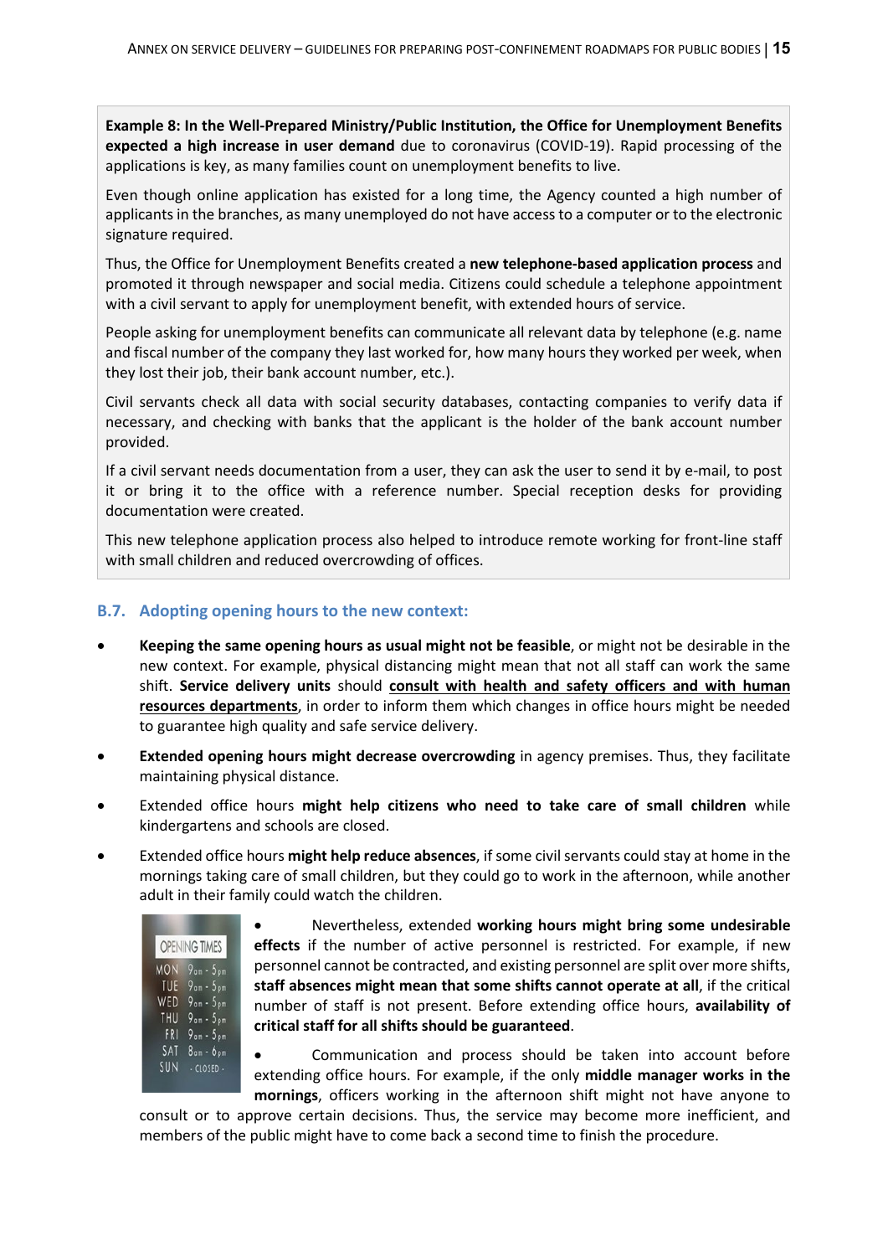**Example 8: In the Well-Prepared Ministry/Public Institution, the Office for Unemployment Benefits expected a high increase in user demand** due to coronavirus (COVID-19). Rapid processing of the applications is key, as many families count on unemployment benefits to live.

Even though online application has existed for a long time, the Agency counted a high number of applicants in the branches, as many unemployed do not have access to a computer or to the electronic signature required.

Thus, the Office for Unemployment Benefits created a **new telephone-based application process** and promoted it through newspaper and social media. Citizens could schedule a telephone appointment with a civil servant to apply for unemployment benefit, with extended hours of service.

People asking for unemployment benefits can communicate all relevant data by telephone (e.g. name and fiscal number of the company they last worked for, how many hours they worked per week, when they lost their job, their bank account number, etc.).

Civil servants check all data with social security databases, contacting companies to verify data if necessary, and checking with banks that the applicant is the holder of the bank account number provided.

If a civil servant needs documentation from a user, they can ask the user to send it by e-mail, to post it or bring it to the office with a reference number. Special reception desks for providing documentation were created.

This new telephone application process also helped to introduce remote working for front-line staff with small children and reduced overcrowding of offices.

#### **B.7. Adopting opening hours to the new context:**

- **Keeping the same opening hours as usual might not be feasible**, or might not be desirable in the new context. For example, physical distancing might mean that not all staff can work the same shift. **Service delivery units** should **consult with health and safety officers and with human resources departments**, in order to inform them which changes in office hours might be needed to guarantee high quality and safe service delivery.
- **Extended opening hours might decrease overcrowding** in agency premises. Thus, they facilitate maintaining physical distance.
- Extended office hours **might help citizens who need to take care of small children** while kindergartens and schools are closed.
- Extended office hours **might help reduce absences**, if some civil servants could stay at home in the mornings taking care of small children, but they could go to work in the afternoon, while another adult in their family could watch the children.



• Nevertheless, extended **working hours might bring some undesirable effects** if the number of active personnel is restricted. For example, if new personnel cannot be contracted, and existing personnel are split over more shifts, **staff absences might mean that some shifts cannot operate at all**, if the critical number of staff is not present. Before extending office hours, **availability of critical staff for all shifts should be guaranteed**.

• Communication and process should be taken into account before extending office hours. For example, if the only **middle manager works in the mornings**, officers working in the afternoon shift might not have anyone to

consult or to approve certain decisions. Thus, the service may become more inefficient, and members of the public might have to come back a second time to finish the procedure.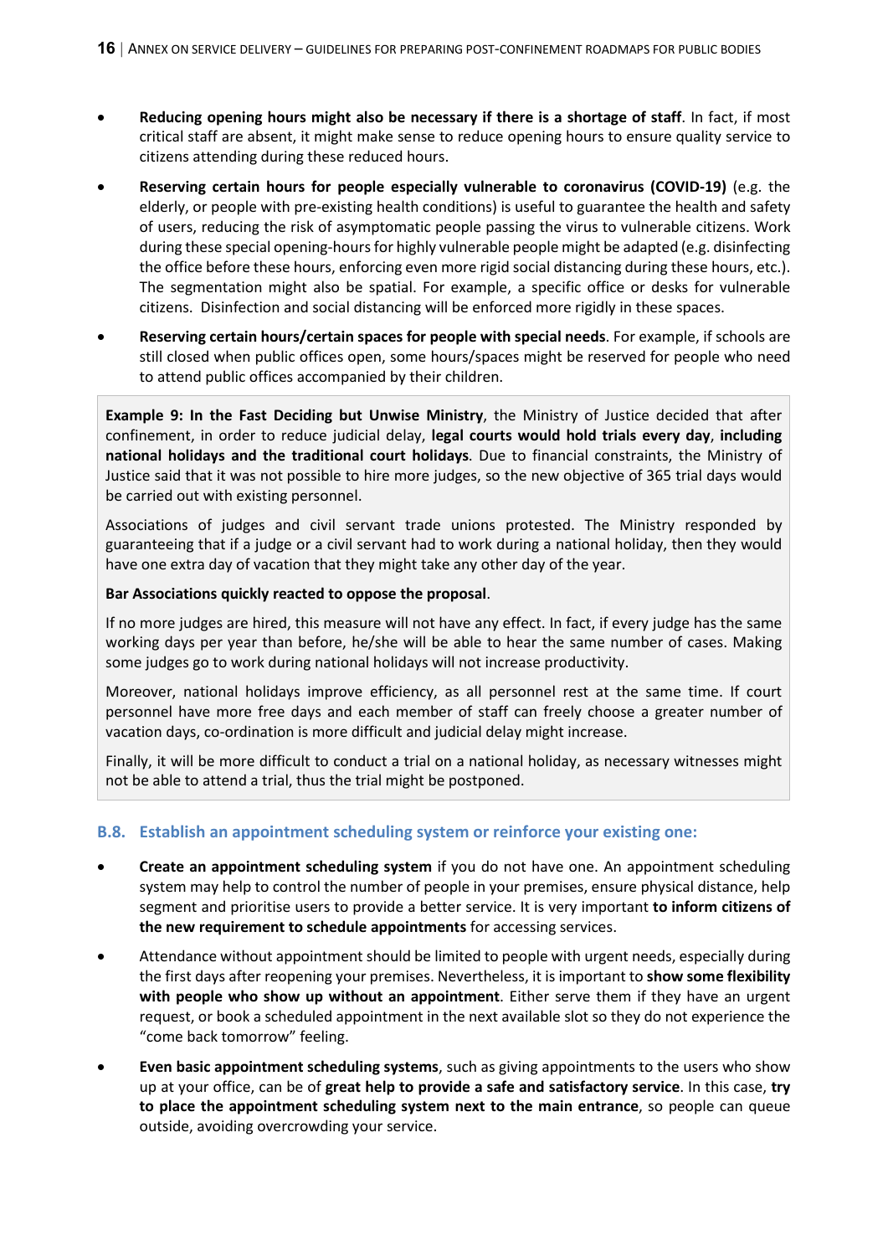- **Reducing opening hours might also be necessary if there is a shortage of staff**. In fact, if most critical staff are absent, it might make sense to reduce opening hours to ensure quality service to citizens attending during these reduced hours.
- **Reserving certain hours for people especially vulnerable to coronavirus (COVID-19)** (e.g. the elderly, or people with pre-existing health conditions) is useful to guarantee the health and safety of users, reducing the risk of asymptomatic people passing the virus to vulnerable citizens. Work during these special opening-hours for highly vulnerable people might be adapted (e.g. disinfecting the office before these hours, enforcing even more rigid social distancing during these hours, etc.). The segmentation might also be spatial. For example, a specific office or desks for vulnerable citizens. Disinfection and social distancing will be enforced more rigidly in these spaces.
- **Reserving certain hours/certain spaces for people with special needs**. For example, if schools are still closed when public offices open, some hours/spaces might be reserved for people who need to attend public offices accompanied by their children.

**Example 9: In the Fast Deciding but Unwise Ministry**, the Ministry of Justice decided that after confinement, in order to reduce judicial delay, **legal courts would hold trials every day**, **including national holidays and the traditional court holidays**. Due to financial constraints, the Ministry of Justice said that it was not possible to hire more judges, so the new objective of 365 trial days would be carried out with existing personnel.

Associations of judges and civil servant trade unions protested. The Ministry responded by guaranteeing that if a judge or a civil servant had to work during a national holiday, then they would have one extra day of vacation that they might take any other day of the year.

#### **Bar Associations quickly reacted to oppose the proposal**.

If no more judges are hired, this measure will not have any effect. In fact, if every judge has the same working days per year than before, he/she will be able to hear the same number of cases. Making some judges go to work during national holidays will not increase productivity.

Moreover, national holidays improve efficiency, as all personnel rest at the same time. If court personnel have more free days and each member of staff can freely choose a greater number of vacation days, co-ordination is more difficult and judicial delay might increase.

Finally, it will be more difficult to conduct a trial on a national holiday, as necessary witnesses might not be able to attend a trial, thus the trial might be postponed.

#### **B.8. Establish an appointment scheduling system or reinforce your existing one:**

- **Create an appointment scheduling system** if you do not have one. An appointment scheduling system may help to control the number of people in your premises, ensure physical distance, help segment and prioritise users to provide a better service. It is very important **to inform citizens of the new requirement to schedule appointments** for accessing services.
- Attendance without appointment should be limited to people with urgent needs, especially during the first days after reopening your premises. Nevertheless, it is important to **show some flexibility with people who show up without an appointment**. Either serve them if they have an urgent request, or book a scheduled appointment in the next available slot so they do not experience the "come back tomorrow" feeling.
- **Even basic appointment scheduling systems**, such as giving appointments to the users who show up at your office, can be of **great help to provide a safe and satisfactory service**. In this case, **try to place the appointment scheduling system next to the main entrance**, so people can queue outside, avoiding overcrowding your service.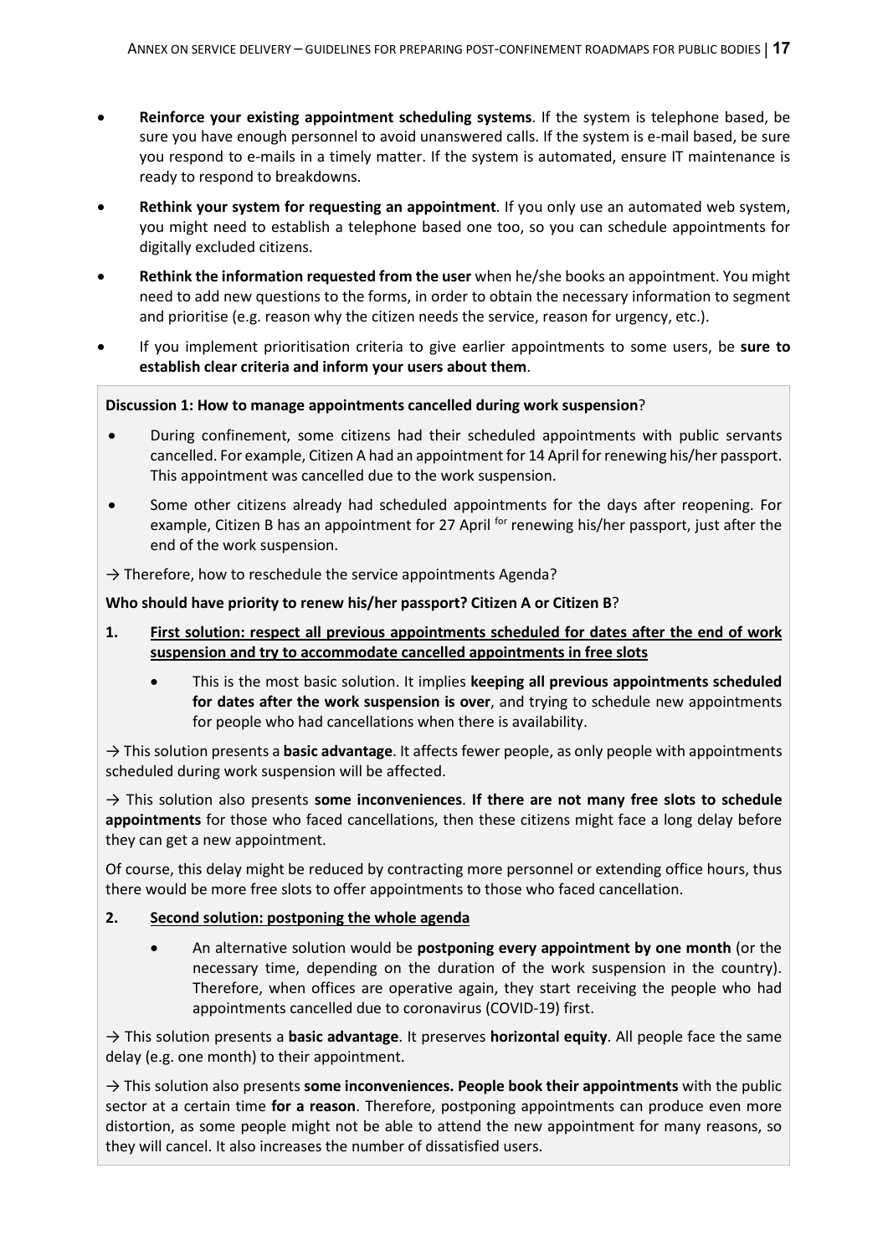- **Reinforce your existing appointment scheduling systems**. If the system is telephone based, be sure you have enough personnel to avoid unanswered calls. If the system is e-mail based, be sure you respond to e-mails in a timely matter. If the system is automated, ensure IT maintenance is ready to respond to breakdowns.
- **Rethink your system for requesting an appointment**. If you only use an automated web system, you might need to establish a telephone based one too, so you can schedule appointments for digitally excluded citizens.
- **Rethink the information requested from the user** when he/she books an appointment. You might need to add new questions to the forms, in order to obtain the necessary information to segment and prioritise (e.g. reason why the citizen needs the service, reason for urgency, etc.).
- If you implement prioritisation criteria to give earlier appointments to some users, be **sure to establish clear criteria and inform your users about them**.

#### **Discussion 1: How to manage appointments cancelled during work suspension**?

- During confinement, some citizens had their scheduled appointments with public servants cancelled. For example, Citizen A had an appointment for 14 April for renewing his/her passport. This appointment was cancelled due to the work suspension.
- Some other citizens already had scheduled appointments for the days after reopening. For example, Citizen B has an appointment for 27 April <sup>for</sup> renewing his/her passport, just after the end of the work suspension.

 $\rightarrow$  Therefore, how to reschedule the service appointments Agenda?

**Who should have priority to renew his/her passport? Citizen A or Citizen B**?

- **1. First solution: respect all previous appointments scheduled for dates after the end of work suspension and try to accommodate cancelled appointments in free slots**
	- This is the most basic solution. It implies **keeping all previous appointments scheduled for dates after the work suspension is over**, and trying to schedule new appointments for people who had cancellations when there is availability.

→ This solution presents a **basic advantage**. It affects fewer people, as only people with appointments scheduled during work suspension will be affected.

→ This solution also presents **some inconveniences**. **If there are not many free slots to schedule appointments** for those who faced cancellations, then these citizens might face a long delay before they can get a new appointment.

Of course, this delay might be reduced by contracting more personnel or extending office hours, thus there would be more free slots to offer appointments to those who faced cancellation.

#### **2. Second solution: postponing the whole agenda**

• An alternative solution would be **postponing every appointment by one month** (or the necessary time, depending on the duration of the work suspension in the country). Therefore, when offices are operative again, they start receiving the people who had appointments cancelled due to coronavirus (COVID-19) first.

→ This solution presents a **basic advantage**. It preserves **horizontal equity**. All people face the same delay (e.g. one month) to their appointment.

→ This solution also presents **some inconveniences. People book their appointments** with the public sector at a certain time **for a reason**. Therefore, postponing appointments can produce even more distortion, as some people might not be able to attend the new appointment for many reasons, so they will cancel. It also increases the number of dissatisfied users.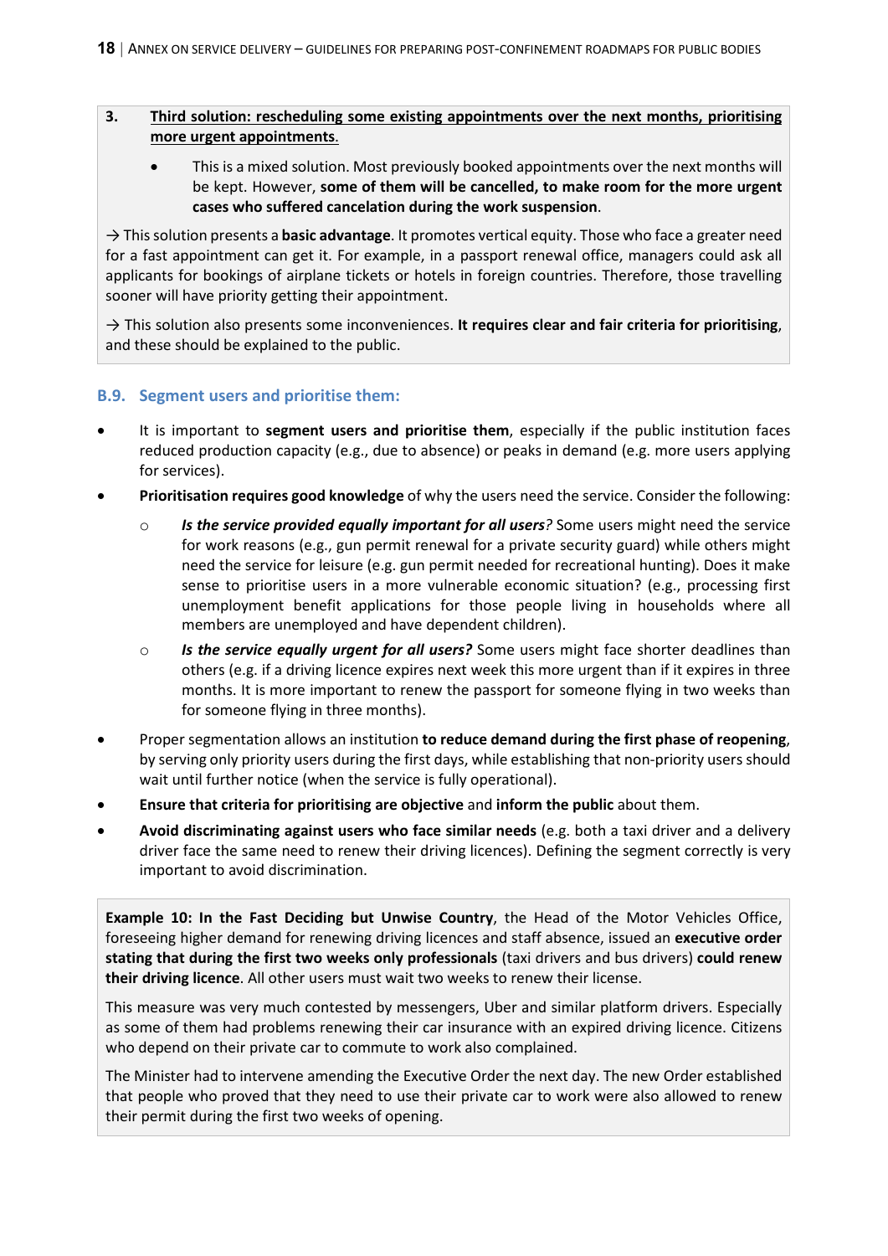#### **3. Third solution: rescheduling some existing appointments over the next months, prioritising more urgent appointments**.

• This is a mixed solution. Most previously booked appointments over the next months will be kept. However, **some of them will be cancelled, to make room for the more urgent cases who suffered cancelation during the work suspension**.

→ This solution presents a **basic advantage**. It promotes vertical equity. Those who face a greater need for a fast appointment can get it. For example, in a passport renewal office, managers could ask all applicants for bookings of airplane tickets or hotels in foreign countries. Therefore, those travelling sooner will have priority getting their appointment.

→ This solution also presents some inconveniences. **It requires clear and fair criteria for prioritising**, and these should be explained to the public.

#### **B.9. Segment users and prioritise them:**

- It is important to **segment users and prioritise them**, especially if the public institution faces reduced production capacity (e.g., due to absence) or peaks in demand (e.g. more users applying for services).
- **Prioritisation requires good knowledge** of why the users need the service. Consider the following:
	- o *Is the service provided equally important for all users?* Some users might need the service for work reasons (e.g., gun permit renewal for a private security guard) while others might need the service for leisure (e.g. gun permit needed for recreational hunting). Does it make sense to prioritise users in a more vulnerable economic situation? (e.g., processing first unemployment benefit applications for those people living in households where all members are unemployed and have dependent children).
	- o *Is the service equally urgent for all users?* Some users might face shorter deadlines than others (e.g. if a driving licence expires next week this more urgent than if it expires in three months. It is more important to renew the passport for someone flying in two weeks than for someone flying in three months).
- Proper segmentation allows an institution **to reduce demand during the first phase of reopening**, by serving only priority users during the first days, while establishing that non-priority users should wait until further notice (when the service is fully operational).
- **Ensure that criteria for prioritising are objective** and **inform the public** about them.
- **Avoid discriminating against users who face similar needs** (e.g. both a taxi driver and a delivery driver face the same need to renew their driving licences). Defining the segment correctly is very important to avoid discrimination.

**Example 10: In the Fast Deciding but Unwise Country**, the Head of the Motor Vehicles Office, foreseeing higher demand for renewing driving licences and staff absence, issued an **executive order stating that during the first two weeks only professionals** (taxi drivers and bus drivers) **could renew their driving licence**. All other users must wait two weeks to renew their license.

This measure was very much contested by messengers, Uber and similar platform drivers. Especially as some of them had problems renewing their car insurance with an expired driving licence. Citizens who depend on their private car to commute to work also complained.

The Minister had to intervene amending the Executive Order the next day. The new Order established that people who proved that they need to use their private car to work were also allowed to renew their permit during the first two weeks of opening.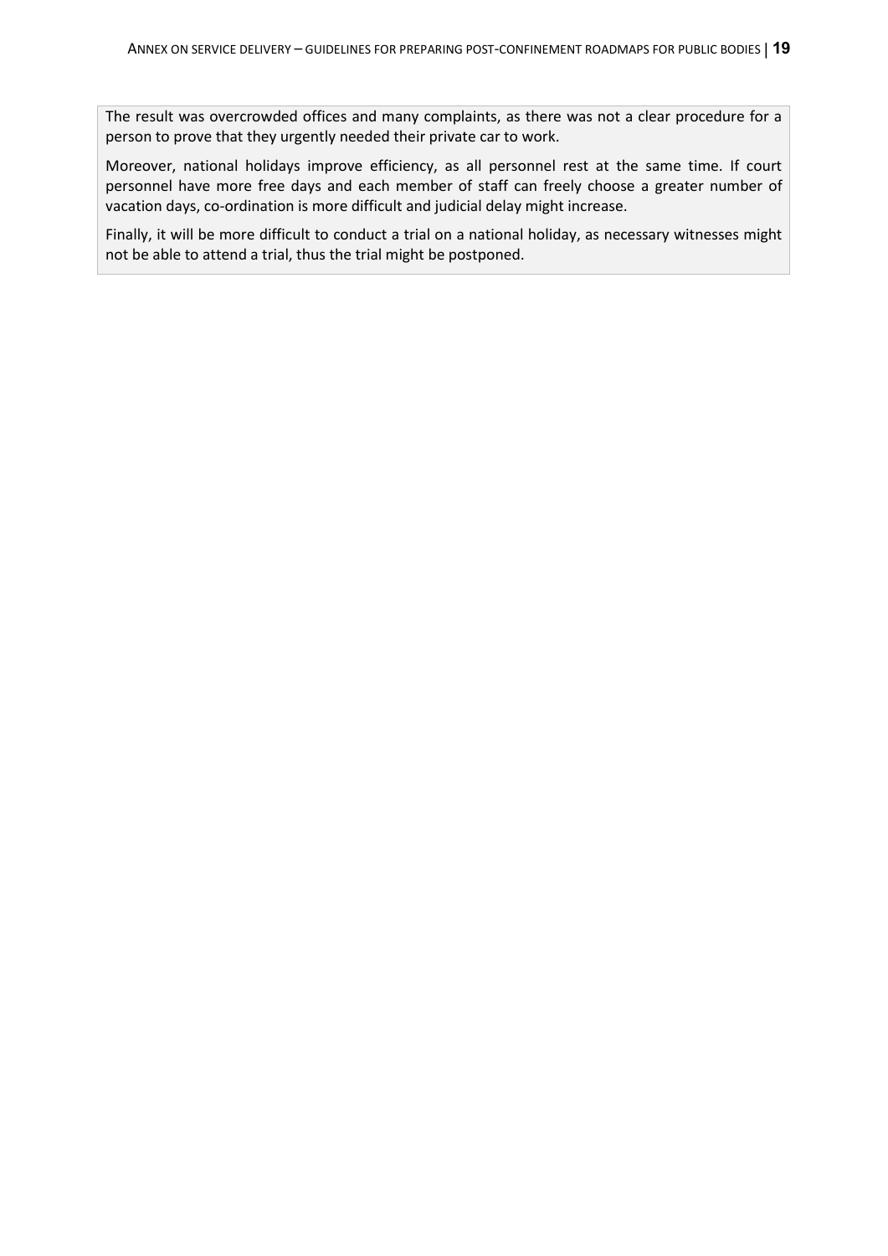The result was overcrowded offices and many complaints, as there was not a clear procedure for a person to prove that they urgently needed their private car to work.

Moreover, national holidays improve efficiency, as all personnel rest at the same time. If court personnel have more free days and each member of staff can freely choose a greater number of vacation days, co-ordination is more difficult and judicial delay might increase.

Finally, it will be more difficult to conduct a trial on a national holiday, as necessary witnesses might not be able to attend a trial, thus the trial might be postponed.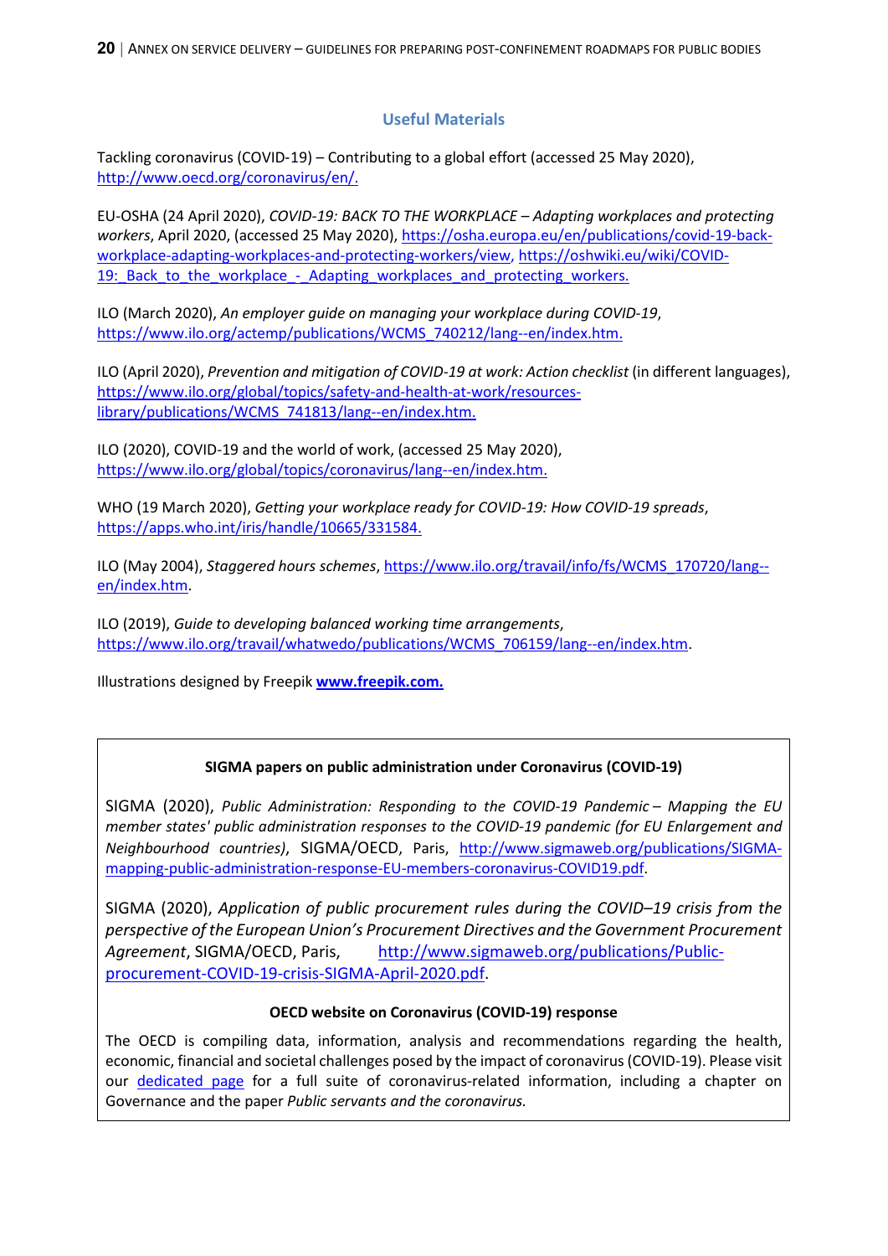**20** | ANNEX ON SERVICE DELIVERY – GUIDELINES FOR PREPARING POST-CONFINEMENT ROADMAPS FOR PUBLIC BODIES

#### **Useful Materials**

Tackling coronavirus (COVID-19) – Contributing to a global effort (accessed 25 May 2020), [http://www.oecd.org/coronavirus/en/.](http://www.oecd.org/coronavirus/en/)

EU-OSHA (24 April 2020), *COVID-19: BACK TO THE WORKPLACE – Adapting workplaces and protecting workers*, April 2020, (accessed 25 May 2020), [https://osha.europa.eu/en/publications/covid-19-back](https://osha.europa.eu/en/publications/covid-19-back-workplace-adapting-workplaces-and-protecting-workers/view)[workplace-adapting-workplaces-and-protecting-workers/view,](https://osha.europa.eu/en/publications/covid-19-back-workplace-adapting-workplaces-and-protecting-workers/view) [https://oshwiki.eu/wiki/COVID-](https://oshwiki.eu/wiki/COVID-19:_Back_to_the_workplace_-_Adapting_workplaces_and_protecting_workers)19: Back to the workplace - Adapting workplaces and protecting workers.

ILO (March 2020), *An employer guide on managing your workplace during COVID-19*, [https://www.ilo.org/actemp/publications/WCMS\\_740212/lang--en/index.htm.](https://www.ilo.org/actemp/publications/WCMS_740212/lang--en/index.htm)

ILO (April 2020), *Prevention and mitigation of COVID-19 at work: Action checklist* (in different languages), [https://www.ilo.org/global/topics/safety-and-health-at-work/resources](https://www.ilo.org/global/topics/safety-and-health-at-work/resources-library/publications/WCMS_741813/lang--en/index.htm)[library/publications/WCMS\\_741813/lang--en/index.htm.](https://www.ilo.org/global/topics/safety-and-health-at-work/resources-library/publications/WCMS_741813/lang--en/index.htm)

ILO (2020), COVID-19 and the world of work, (accessed 25 May 2020), [https://www.ilo.org/global/topics/coronavirus/lang--en/index.htm.](https://www.ilo.org/global/topics/coronavirus/lang--en/index.htm)

WHO (19 March 2020), *Getting your workplace ready for COVID-19: How COVID-19 spreads*, [https://apps.who.int/iris/handle/10665/331584.](https://apps.who.int/iris/handle/10665/331584)

ILO (May 2004), *Staggered hours schemes*[, https://www.ilo.org/travail/info/fs/WCMS\\_170720/lang-](https://www.ilo.org/travail/info/fs/WCMS_170720/lang--en/index.htm) [en/index.htm.](https://www.ilo.org/travail/info/fs/WCMS_170720/lang--en/index.htm)

ILO (2019), *Guide to developing balanced working time arrangements*, [https://www.ilo.org/travail/whatwedo/publications/WCMS\\_706159/lang--en/index.htm.](https://www.ilo.org/travail/whatwedo/publications/WCMS_706159/lang--en/index.htm)

Illustrations designed by Freepik **[www.freepik.com.](http://www.freepik.com/)**

#### **SIGMA papers on public administration under Coronavirus (COVID-19)**

SIGMA (2020), *Public Administration: Responding to the COVID-19 Pandemic – Mapping the EU member states' public administration responses to the COVID-19 pandemic (for EU Enlargement and Neighbourhood countries)*, SIGMA/OECD, Paris, [http://www.sigmaweb.org/publications/SIGMA](http://www.sigmaweb.org/publications/SIGMA-mapping-public-administration-response-EU-members-coronavirus-COVID19.pdf)[mapping-public-administration-response-EU-members-coronavirus-COVID19.pdf.](http://www.sigmaweb.org/publications/SIGMA-mapping-public-administration-response-EU-members-coronavirus-COVID19.pdf)

SIGMA (2020), *Application of public procurement rules during the COVID–19 crisis from the perspective of the European Union's Procurement Directives and the Government Procurement*  Agreement, SIGMA/OECD, Paris, [http://www.sigmaweb.org/publications/Public](http://www.sigmaweb.org/publications/Public-procurement-COVID-19-crisis-SIGMA-April-2020.pdf)[procurement-COVID-19-crisis-SIGMA-April-2020.pdf.](http://www.sigmaweb.org/publications/Public-procurement-COVID-19-crisis-SIGMA-April-2020.pdf)

#### **OECD website on Coronavirus (COVID-19) response**

The OECD is compiling data, information, analysis and recommendations regarding the health, economic, financial and societal challenges posed by the impact of coronavirus (COVID-19). Please visit our [dedicated page](http://www.oecd.org/coronavirus/en/) for a full suite of coronavirus-related information, including a chapter on Governance and the paper *Public servants and the coronavirus.*